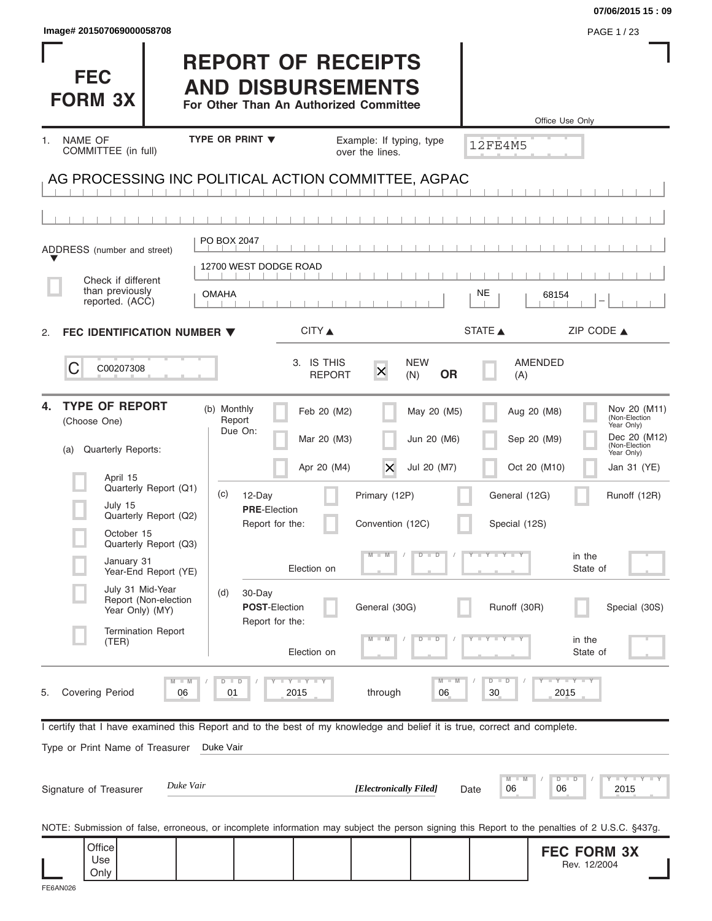|                                                                                                                                                |                                                                                                 |                             |                          |                                |                          | 07/06/2015 15:09                                                                          |
|------------------------------------------------------------------------------------------------------------------------------------------------|-------------------------------------------------------------------------------------------------|-----------------------------|--------------------------|--------------------------------|--------------------------|-------------------------------------------------------------------------------------------|
| Image# 201507069000058708                                                                                                                      |                                                                                                 |                             |                          |                                |                          | PAGE 1 / 23                                                                               |
| <b>FEC</b><br><b>FORM 3X</b>                                                                                                                   | <b>REPORT OF RECEIPTS</b><br><b>AND DISBURSEMENTS</b><br>For Other Than An Authorized Committee |                             |                          |                                |                          | Office Use Only                                                                           |
| NAME OF<br>1.                                                                                                                                  | TYPE OR PRINT V                                                                                 |                             | Example: If typing, type |                                |                          |                                                                                           |
| COMMITTEE (in full)                                                                                                                            |                                                                                                 |                             | over the lines.          |                                | <b>12FE4M5</b>           |                                                                                           |
| AG PROCESSING INC POLITICAL ACTION COMMITTEE, AGPAC                                                                                            |                                                                                                 |                             |                          |                                |                          |                                                                                           |
|                                                                                                                                                |                                                                                                 |                             |                          |                                |                          |                                                                                           |
| ADDRESS (number and street)                                                                                                                    | PO BOX 2047                                                                                     |                             |                          |                                |                          |                                                                                           |
| Check if different                                                                                                                             | 12700 WEST DODGE ROAD                                                                           |                             |                          |                                |                          |                                                                                           |
| than previously<br>reported. (ACC)                                                                                                             | <b>OMAHA</b>                                                                                    |                             |                          |                                | NE                       | 68154                                                                                     |
| FEC IDENTIFICATION NUMBER ▼<br>2.                                                                                                              |                                                                                                 | CITY ▲                      |                          |                                | STATE A                  | ZIP CODE $\triangle$                                                                      |
| C<br>C00207308                                                                                                                                 |                                                                                                 | 3. IS THIS<br><b>REPORT</b> | $\mathsf{x}$             | <b>NEW</b><br><b>OR</b><br>(N) | (A)                      | <b>AMENDED</b>                                                                            |
| <b>TYPE OF REPORT</b><br>4.<br>(Choose One)                                                                                                    | (b) Monthly<br>Report<br>Due On:                                                                | Feb 20 (M2)<br>Mar 20 (M3)  |                          | May 20 (M5)<br>Jun 20 (M6)     |                          | Nov 20 (M11)<br>Aug 20 (M8)<br>(Non-Election<br>Year Only)<br>Dec 20 (M12)<br>Sep 20 (M9) |
| Quarterly Reports:<br>(a)                                                                                                                      |                                                                                                 | Apr 20 (M4)                 | $\times$                 | Jul 20 (M7)                    |                          | (Non-Election<br>Year Only)<br>Oct 20 (M10)<br>Jan 31 (YE)                                |
| April 15<br>Quarterly Report (Q1)                                                                                                              | (c)<br>12-Day                                                                                   |                             | Primary (12P)            |                                | General (12G)            | Runoff (12R)                                                                              |
| July 15<br>Quarterly Report (Q2)<br>October 15                                                                                                 | <b>PRE-Election</b><br>Report for the:                                                          |                             | Convention (12C)         |                                | Special (12S)            |                                                                                           |
| Quarterly Report (Q3)<br>January 31                                                                                                            |                                                                                                 | Election on                 | $\Box$ M                 | D<br>$\Box$                    | $\bot$ Y $\bot$ Y $\bot$ | in the<br>State of                                                                        |
| Year-End Report (YE)<br>July 31 Mid-Year<br>Report (Non-election                                                                               | (d)<br>30-Day                                                                                   |                             |                          |                                |                          |                                                                                           |
| Year Only) (MY)<br><b>Termination Report</b>                                                                                                   | POST-Election<br>Report for the:                                                                |                             | General (30G)            |                                | Runoff (30R)             | Special (30S)                                                                             |
| (TER)                                                                                                                                          |                                                                                                 | Election on                 |                          | $\overline{\mathbf{D}}$<br>D   |                          | in the<br>State of                                                                        |
| $M - M$<br><b>Covering Period</b><br>06<br>5.                                                                                                  | $D$ $D$<br>01                                                                                   | Y LY LY<br>2015             | through                  | $M - M$<br>06                  | $D - D$<br>30            | $I - Y - I - Y - I - Y$<br>2015                                                           |
| I certify that I have examined this Report and to the best of my knowledge and belief it is true, correct and complete.                        |                                                                                                 |                             |                          |                                |                          |                                                                                           |
| Type or Print Name of Treasurer                                                                                                                | Duke Vair                                                                                       |                             |                          |                                |                          |                                                                                           |
| Duke Vair<br>Signature of Treasurer                                                                                                            |                                                                                                 |                             | [Electronically Filed]   |                                | $M -$<br>06<br>Date      | $\bot$ $\gamma$ $\bot$ $\gamma$ $\bot$ $\gamma$<br>$D$ $D$<br>06<br>2015                  |
| NOTE: Submission of false, erroneous, or incomplete information may subject the person signing this Report to the penalties of 2 U.S.C. §437g. |                                                                                                 |                             |                          |                                |                          |                                                                                           |
| Office<br>Use<br>Only                                                                                                                          |                                                                                                 |                             |                          |                                |                          | <b>FEC FORM 3X</b><br>Rev. 12/2004                                                        |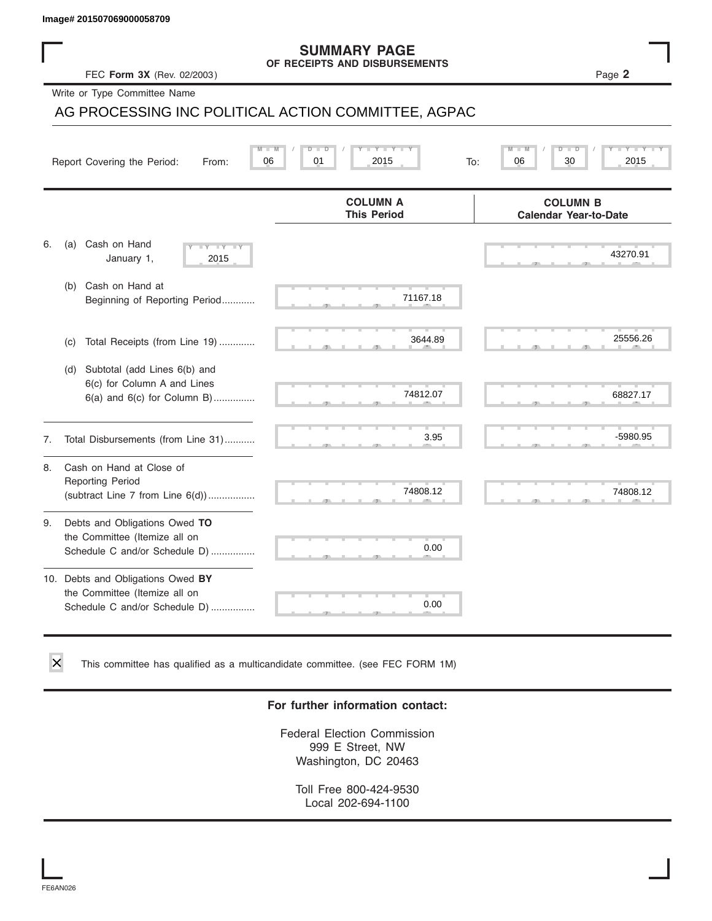### **SUMMARY PAGE OF RECEIPTS AND DISBURSEMENTS**

|    | lmage# 201507069000058709                                                                             |                                                      |                                                 |
|----|-------------------------------------------------------------------------------------------------------|------------------------------------------------------|-------------------------------------------------|
|    | FEC Form 3X (Rev. 02/2003)                                                                            | <b>SUMMARY PAGE</b><br>OF RECEIPTS AND DISBURSEMENTS | Page 2                                          |
|    | Write or Type Committee Name                                                                          |                                                      |                                                 |
|    |                                                                                                       | AG PROCESSING INC POLITICAL ACTION COMMITTEE, AGPAC  |                                                 |
|    | Report Covering the Period:<br>From:                                                                  | Y L<br>D<br>06<br>01<br>2015<br>To:                  | 30<br>2015<br>06                                |
|    |                                                                                                       | <b>COLUMN A</b><br><b>This Period</b>                | <b>COLUMN B</b><br><b>Calendar Year-to-Date</b> |
| 6. | Cash on Hand<br>(a)<br>$- Y$<br>January 1,<br>2015                                                    |                                                      | 43270.91                                        |
|    | Cash on Hand at<br>(b)<br>Beginning of Reporting Period                                               | 71167.18                                             |                                                 |
|    | Total Receipts (from Line 19)<br>(c)                                                                  | 3644.89                                              | 25556.26                                        |
|    | Subtotal (add Lines 6(b) and<br>(d)<br>6(c) for Column A and Lines<br>$6(a)$ and $6(c)$ for Column B) | 74812.07                                             | 68827.17                                        |
| 7. | Total Disbursements (from Line 31)                                                                    | 3.95                                                 | -5980.95                                        |
| 8. | Cash on Hand at Close of<br><b>Reporting Period</b><br>(subtract Line $7$ from Line $6(d)$ )          | 74808.12                                             | 74808.12                                        |
| 9. | Debts and Obligations Owed TO<br>the Committee (Itemize all on<br>Schedule C and/or Schedule D)       | 0.00                                                 |                                                 |
|    | 10. Debts and Obligations Owed BY<br>the Committee (Itemize all on<br>Schedule C and/or Schedule D)   | 0.00                                                 |                                                 |

This committee has qualified as a multicandidate committee. (see FEC FORM 1M)

### **For further information contact:**

Federal Election Commission 999 E Street, NW Washington, DC 20463

Toll Free 800-424-9530 Local 202-694-1100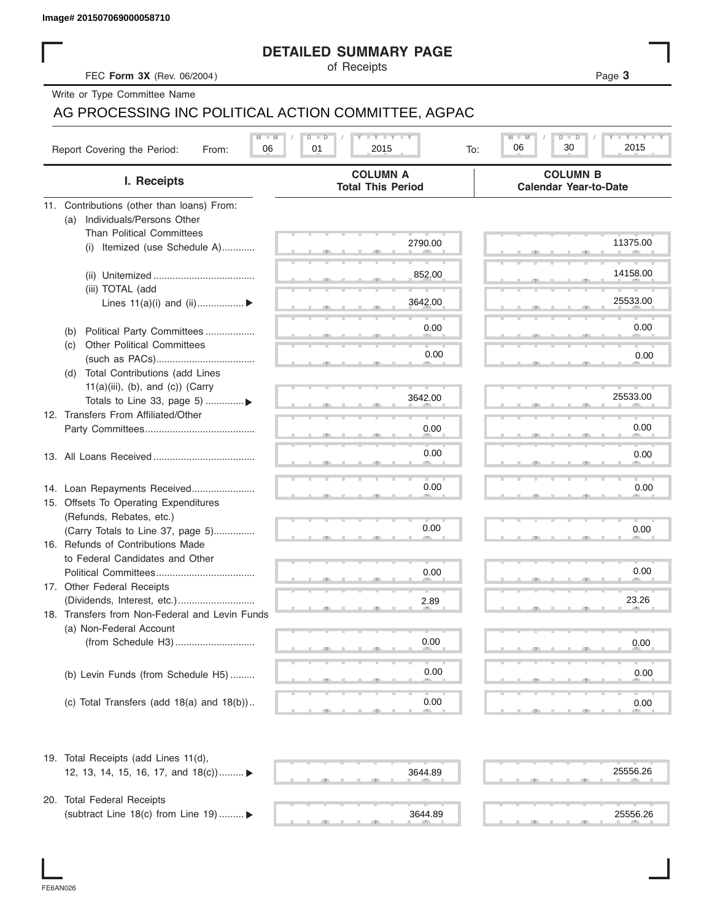### **DETAILED SUMMARY PAGE**

|                                                     | <b>DETAILED SUMMARY PAGE</b>                |                                                 |
|-----------------------------------------------------|---------------------------------------------|-------------------------------------------------|
| FEC Form 3X (Rev. 06/2004)                          | of Receipts                                 | Page 3                                          |
| Write or Type Committee Name                        |                                             |                                                 |
| AG PROCESSING INC POLITICAL ACTION COMMITTEE, AGPAC |                                             |                                                 |
|                                                     | <b>LY LY LY</b><br>$D - I$                  | $M - M$<br><b>LEY LEY LE</b><br>$D - I$<br>ъ    |
| Report Covering the Period:<br>06<br>From:          | 01<br>2015<br>To:                           | 30<br>2015<br>06                                |
| I. Receipts                                         | <b>COLUMN A</b><br><b>Total This Period</b> | <b>COLUMN B</b><br><b>Calendar Year-to-Date</b> |
| 11. Contributions (other than loans) From:          |                                             |                                                 |
| Individuals/Persons Other<br>(a)                    |                                             |                                                 |
| <b>Than Political Committees</b>                    | 2790.00                                     | 11375.00                                        |
| (i) Itemized (use Schedule A)                       |                                             |                                                 |
|                                                     | 852.00                                      | 14158.00                                        |
| (iii) TOTAL (add                                    |                                             |                                                 |
| Lines $11(a)(i)$ and $(ii)$                         | 3642.00                                     | 25533.00                                        |
|                                                     |                                             |                                                 |
| Political Party Committees<br>(b)                   | 0.00                                        | 0.00                                            |
| <b>Other Political Committees</b><br>(c)            |                                             |                                                 |
|                                                     | 0.00                                        | 0.00                                            |
| Total Contributions (add Lines<br>(d)               |                                             |                                                 |
| $11(a)(iii)$ , (b), and (c)) (Carry                 |                                             |                                                 |
| Totals to Line 33, page 5)                          | 3642.00                                     | 25533.00                                        |
| 12. Transfers From Affiliated/Other                 |                                             |                                                 |
|                                                     | 0.00                                        | 0.00                                            |
|                                                     | 0.00                                        |                                                 |
|                                                     |                                             | 0.00                                            |
|                                                     |                                             |                                                 |
| 14. Loan Repayments Received                        | 0.00                                        | 0.00                                            |
| 15. Offsets To Operating Expenditures               |                                             |                                                 |
| (Refunds, Rebates, etc.)                            |                                             |                                                 |
| (Carry Totals to Line 37, page 5)                   | 0.00                                        | 0.00                                            |
| 16. Refunds of Contributions Made                   |                                             |                                                 |
| to Federal Candidates and Other                     |                                             | 0.00                                            |
| Political Committees                                | 0.00                                        |                                                 |
| 17. Other Federal Receipts                          |                                             | 23.26                                           |
| 18. Transfers from Non-Federal and Levin Funds      | 2.89                                        |                                                 |
| (a) Non-Federal Account                             |                                             |                                                 |
|                                                     | 0.00                                        | 0.00                                            |
|                                                     |                                             |                                                 |
| (b) Levin Funds (from Schedule H5)                  | 0.00                                        | 0.00                                            |
|                                                     |                                             |                                                 |
| (c) Total Transfers (add $18(a)$ and $18(b)$ )      | 0.00                                        | 0.00                                            |
|                                                     |                                             |                                                 |
| 19. Total Receipts (add Lines 11(d),                |                                             |                                                 |
| 12, 13, 14, 15, 16, 17, and $18(c)$                 | 3644.89                                     | 25556.26                                        |
|                                                     |                                             |                                                 |
| 20. Total Federal Receipts                          |                                             |                                                 |
| (subtract Line 18(c) from Line 19)  ▶               | 3644.89                                     | 25556.26                                        |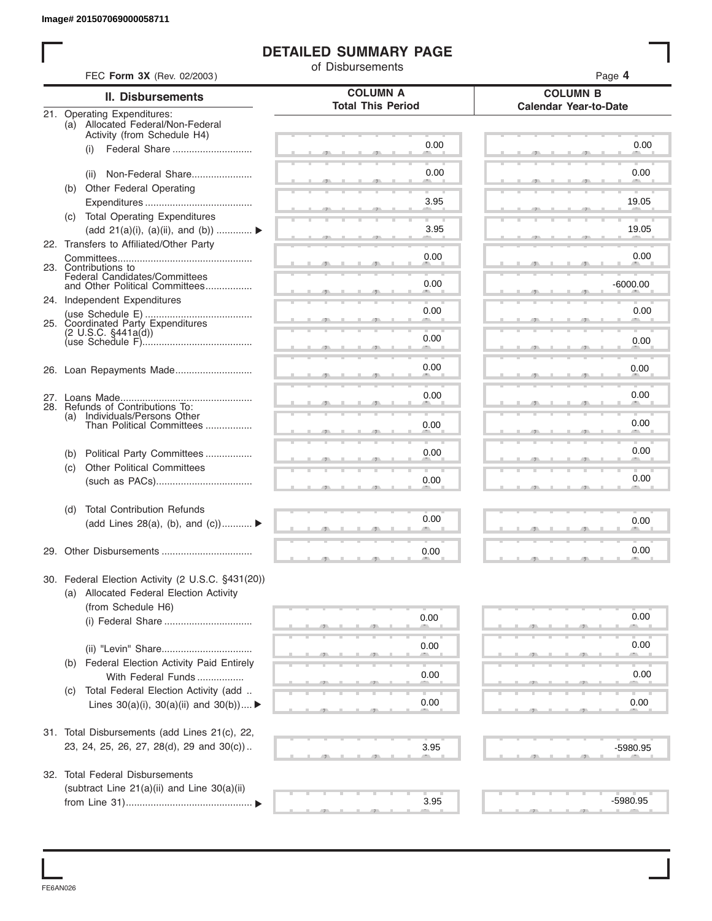### **DETAILED SUMMARY PAGE**

|            |                                                                                                 | of Disbursements                            |                                                 |
|------------|-------------------------------------------------------------------------------------------------|---------------------------------------------|-------------------------------------------------|
|            | FEC Form 3X (Rev. 02/2003)                                                                      |                                             | Page 4                                          |
|            | <b>II. Disbursements</b>                                                                        | <b>COLUMN A</b><br><b>Total This Period</b> | <b>COLUMN B</b><br><b>Calendar Year-to-Date</b> |
|            | 21. Operating Expenditures:<br>(a) Allocated Federal/Non-Federal<br>Activity (from Schedule H4) |                                             |                                                 |
|            | Federal Share<br>(i)                                                                            | 0.00                                        | 0.00                                            |
|            | Non-Federal Share<br>(ii)                                                                       | 0.00                                        | 0.00                                            |
|            | (b) Other Federal Operating                                                                     | 3.95                                        | 19.05                                           |
|            | (c) Total Operating Expenditures<br>(add 21(a)(i), (a)(ii), and (b))                            | 3.95                                        | 19.05                                           |
|            | 22. Transfers to Affiliated/Other Party                                                         |                                             |                                                 |
|            | 23. Contributions to<br>Federal Candidates/Committees                                           | 0.00                                        | 0.00                                            |
|            | and Other Political Committees<br>24. Independent Expenditures                                  | 0.00                                        | $-6000.00$                                      |
|            | 25. Coordinated Party Expenditures                                                              | 0.00                                        | 0.00                                            |
|            | (2 U.S.C. §441a(d))                                                                             | 0.00                                        | 0.00                                            |
|            | 26. Loan Repayments Made                                                                        | 0.00                                        | 0.00                                            |
|            |                                                                                                 | 0.00                                        | 0.00                                            |
| (a)        | 28. Refunds of Contributions To:<br>Individuals/Persons Other<br>Than Political Committees      | 0.00                                        | 0.00                                            |
|            |                                                                                                 | 0.00                                        | 0.00                                            |
| (b)<br>(c) | Political Party Committees<br><b>Other Political Committees</b>                                 |                                             |                                                 |
|            |                                                                                                 | 0.00                                        | 0.00                                            |
| (d)        | <b>Total Contribution Refunds</b><br>(add Lines 28(a), (b), and (c))                            | 0.00                                        | 0.00                                            |
|            |                                                                                                 |                                             |                                                 |
|            | 29. Other Disbursements                                                                         | 0.00                                        | 0.00                                            |
|            | 30. Federal Election Activity (2 U.S.C. §431(20))<br>(a) Allocated Federal Election Activity    |                                             |                                                 |
|            | (from Schedule H6)                                                                              | 0.00                                        | 0.00                                            |
|            |                                                                                                 |                                             |                                                 |
|            | (b) Federal Election Activity Paid Entirely                                                     | 0.00                                        | 0.00                                            |
|            | With Federal Funds                                                                              | 0.00                                        | 0.00                                            |
| (C)        | Total Federal Election Activity (add<br>Lines $30(a)(i)$ , $30(a)(ii)$ and $30(b))$             | 0.00                                        | 0.00                                            |
|            | 31. Total Disbursements (add Lines 21(c), 22,                                                   |                                             |                                                 |
|            | 23, 24, 25, 26, 27, 28(d), 29 and 30(c))                                                        | 3.95                                        | -5980.95                                        |
|            | 32. Total Federal Disbursements                                                                 |                                             |                                                 |
|            | (subtract Line 21(a)(ii) and Line 30(a)(ii)                                                     | 3.95                                        | -5980.95                                        |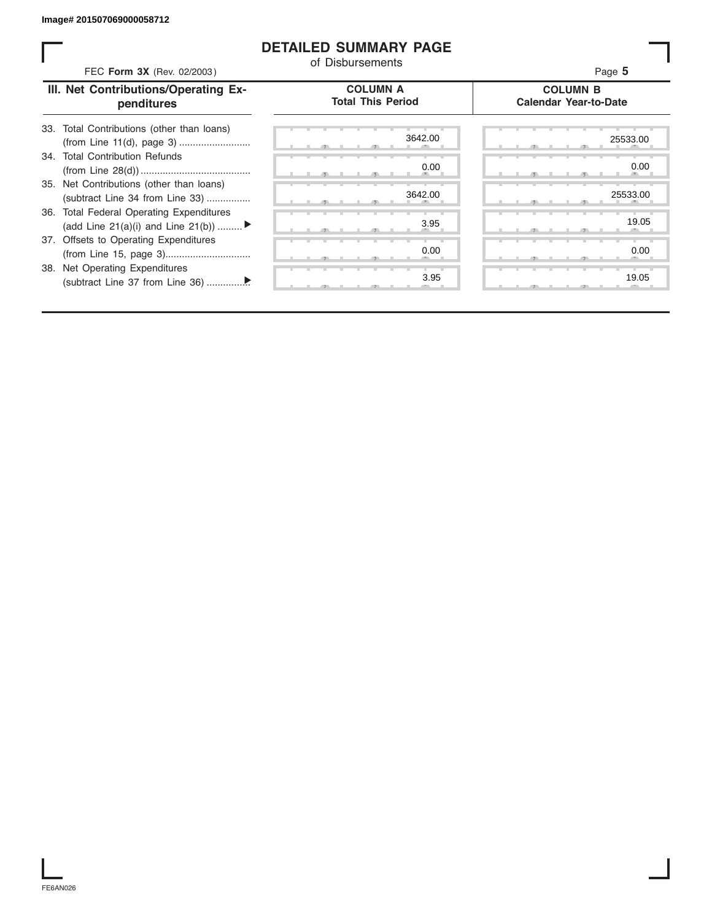### **DETAILED SUMMARY PAGE**

| FEC Form 3X (Rev. 02/2003)                                                     | <b>DETAILED SUMMARY PAGE</b><br>of Disbursements | Page 5                                          |
|--------------------------------------------------------------------------------|--------------------------------------------------|-------------------------------------------------|
| III. Net Contributions/Operating Ex-<br>penditures                             | <b>COLUMN A</b><br><b>Total This Period</b>      | <b>COLUMN B</b><br><b>Calendar Year-to-Date</b> |
| 33. Total Contributions (other than loans)                                     | 3642.00                                          | 25533.00                                        |
| 34. Total Contribution Refunds                                                 | 0.00                                             | 0.00                                            |
| 35. Net Contributions (other than loans)<br>(subtract Line 34 from Line 33)    | 3642.00                                          | 25533.00                                        |
| 36. Total Federal Operating Expenditures<br>(add Line 21(a)(i) and Line 21(b)) | 3.95                                             | 19.05                                           |
| 37. Offsets to Operating Expenditures                                          | 0.00                                             | 0.00                                            |
| 38. Net Operating Expenditures                                                 | 3.95                                             | 19.05                                           |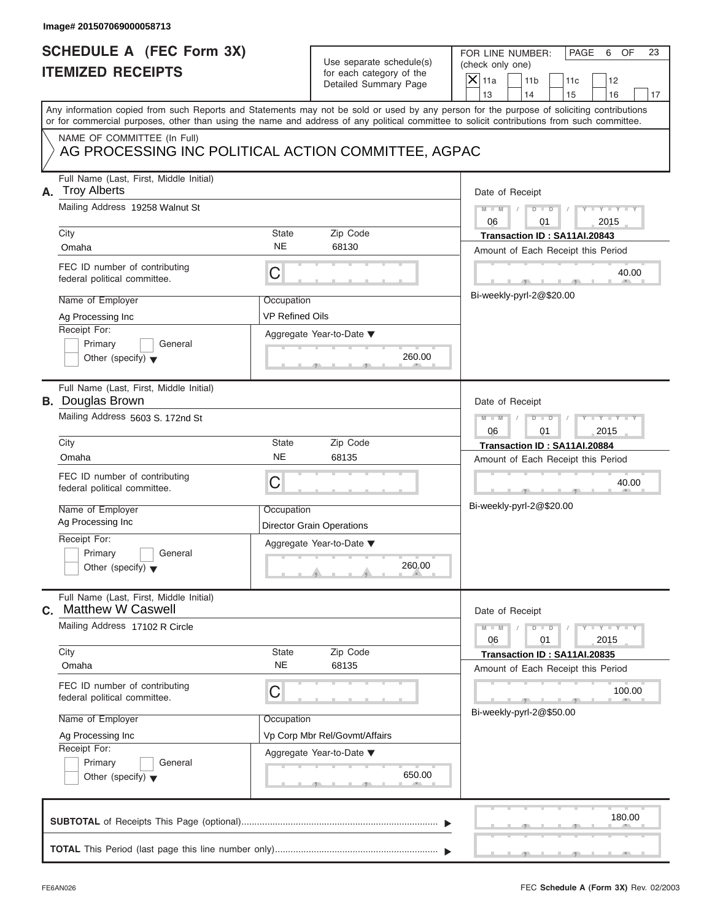### **Image# 201507069000058713**

## **SCHEDULE A (FEC Form 3X) ITEMIZED RECEIPTS**

| SCHEDULE A (FEC Form 3X)<br><b>ITEMIZED RECEIPTS</b>                                                                |                                      | Use separate schedule(s)<br>for each category of the                | FOR LINE NUMBER:<br>PAGE<br>6<br>OF<br>23<br>(check only one)                                                                                                                                                                                                                           |
|---------------------------------------------------------------------------------------------------------------------|--------------------------------------|---------------------------------------------------------------------|-----------------------------------------------------------------------------------------------------------------------------------------------------------------------------------------------------------------------------------------------------------------------------------------|
|                                                                                                                     |                                      | Detailed Summary Page                                               | $X$ 11a<br>11 <sub>b</sub><br>11c<br>12<br>13<br>14<br>15<br>16<br>17                                                                                                                                                                                                                   |
|                                                                                                                     |                                      |                                                                     | Any information copied from such Reports and Statements may not be sold or used by any person for the purpose of soliciting contributions<br>or for commercial purposes, other than using the name and address of any political committee to solicit contributions from such committee. |
| NAME OF COMMITTEE (In Full)<br>AG PROCESSING INC POLITICAL ACTION COMMITTEE, AGPAC                                  |                                      |                                                                     |                                                                                                                                                                                                                                                                                         |
| Full Name (Last, First, Middle Initial)<br><b>Troy Alberts</b><br>А.                                                |                                      |                                                                     | Date of Receipt                                                                                                                                                                                                                                                                         |
| Mailing Address 19258 Walnut St<br>City                                                                             | State                                | Zip Code                                                            | $M - M$<br>D<br>06<br>2015<br>01                                                                                                                                                                                                                                                        |
| Omaha                                                                                                               | <b>NE</b>                            | 68130                                                               | Transaction ID: SA11AI.20843<br>Amount of Each Receipt this Period                                                                                                                                                                                                                      |
| FEC ID number of contributing<br>federal political committee.                                                       | С                                    |                                                                     | 40.00                                                                                                                                                                                                                                                                                   |
| Name of Employer<br>Ag Processing Inc                                                                               | Occupation<br><b>VP Refined Oils</b> |                                                                     | Bi-weekly-pyrl-2@\$20.00                                                                                                                                                                                                                                                                |
| Receipt For:<br>Primary<br>General<br>Other (specify) $\blacktriangledown$                                          |                                      | Aggregate Year-to-Date ▼<br>260.00                                  |                                                                                                                                                                                                                                                                                         |
| Full Name (Last, First, Middle Initial)<br><b>B.</b> Douglas Brown                                                  |                                      |                                                                     | Date of Receipt                                                                                                                                                                                                                                                                         |
| Mailing Address 5603 S. 172nd St                                                                                    |                                      |                                                                     | $M - M$<br>$\overline{D}$<br>$\Box$<br>2015<br>06<br>01                                                                                                                                                                                                                                 |
| City<br>Omaha                                                                                                       | <b>State</b><br><b>NE</b>            | Zip Code<br>68135                                                   | Transaction ID: SA11AI.20884<br>Amount of Each Receipt this Period                                                                                                                                                                                                                      |
| FEC ID number of contributing<br>federal political committee.                                                       | С                                    |                                                                     | 40.00                                                                                                                                                                                                                                                                                   |
| Name of Employer<br>Ag Processing Inc                                                                               | Occupation                           | <b>Director Grain Operations</b>                                    | Bi-weekly-pyrl-2@\$20.00                                                                                                                                                                                                                                                                |
| Receipt For:<br>Primary<br>General<br>Other (specify) $\blacktriangledown$                                          |                                      | Aggregate Year-to-Date ▼<br>260.00<br>A                             |                                                                                                                                                                                                                                                                                         |
| Full Name (Last, First, Middle Initial)<br><b>Matthew W Caswell</b><br>С.                                           |                                      |                                                                     | Date of Receipt                                                                                                                                                                                                                                                                         |
| Mailing Address 17102 R Circle                                                                                      |                                      |                                                                     | $M - M$<br>$Y = Y$<br>D<br>$\Box$<br>T<br>06<br>01<br>2015                                                                                                                                                                                                                              |
| City<br>Omaha                                                                                                       | State<br><b>NE</b>                   | Zip Code<br>68135                                                   | Transaction ID: SA11AI.20835<br>Amount of Each Receipt this Period                                                                                                                                                                                                                      |
| FEC ID number of contributing<br>federal political committee.                                                       | С                                    |                                                                     | 100.00                                                                                                                                                                                                                                                                                  |
| Name of Employer<br>Ag Processing Inc<br>Receipt For:<br>Primary<br>General<br>Other (specify) $\blacktriangledown$ | Occupation                           | Vp Corp Mbr Rel/Govmt/Affairs<br>Aggregate Year-to-Date ▼<br>650.00 | Bi-weekly-pyrl-2@\$50.00                                                                                                                                                                                                                                                                |
|                                                                                                                     |                                      |                                                                     | 180.00                                                                                                                                                                                                                                                                                  |
|                                                                                                                     |                                      |                                                                     |                                                                                                                                                                                                                                                                                         |

S S S , , .

FOR LINE NUMBER: PAGE 6 OF<br>(check only one)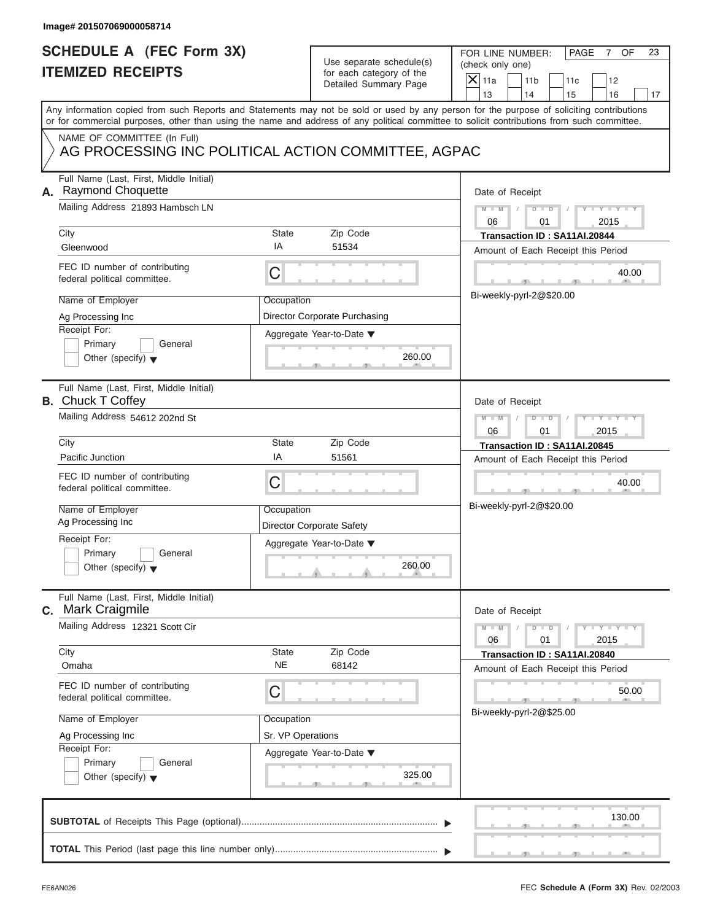|    | SCHEDULE A (FEC Form 3X)                                                                                                                                                                                                                                                                |                                            | Use separate schedule(s)                                  | FOR LINE NUMBER:<br>PAGE<br>7 OF<br>23<br>(check only one)                                 |
|----|-----------------------------------------------------------------------------------------------------------------------------------------------------------------------------------------------------------------------------------------------------------------------------------------|--------------------------------------------|-----------------------------------------------------------|--------------------------------------------------------------------------------------------|
|    | <b>ITEMIZED RECEIPTS</b>                                                                                                                                                                                                                                                                |                                            | for each category of the<br>Detailed Summary Page         | $\boldsymbol{\times}$<br>11a<br>11 <sub>b</sub><br>12<br>11c<br>13<br>14<br>15<br>16<br>17 |
|    | Any information copied from such Reports and Statements may not be sold or used by any person for the purpose of soliciting contributions<br>or for commercial purposes, other than using the name and address of any political committee to solicit contributions from such committee. |                                            |                                                           |                                                                                            |
|    | NAME OF COMMITTEE (In Full)<br>AG PROCESSING INC POLITICAL ACTION COMMITTEE, AGPAC                                                                                                                                                                                                      |                                            |                                                           |                                                                                            |
|    | Full Name (Last, First, Middle Initial)<br>A. Raymond Choquette                                                                                                                                                                                                                         |                                            |                                                           | Date of Receipt                                                                            |
|    | Mailing Address 21893 Hambsch LN<br>City                                                                                                                                                                                                                                                | <b>State</b>                               | Zip Code                                                  | $M - M$<br>$D$ $D$<br>06<br>2015<br>01<br>Transaction ID: SA11AI.20844                     |
|    | Gleenwood                                                                                                                                                                                                                                                                               | IA                                         | 51534                                                     | Amount of Each Receipt this Period                                                         |
|    | FEC ID number of contributing<br>federal political committee.                                                                                                                                                                                                                           | $\mathsf C$                                |                                                           | 40.00<br>$\overline{1}$<br>$-9$                                                            |
|    | Name of Employer<br>Ag Processing Inc<br>Receipt For:                                                                                                                                                                                                                                   | Occupation                                 | Director Corporate Purchasing<br>Aggregate Year-to-Date ▼ | Bi-weekly-pyrl-2@\$20.00                                                                   |
|    | Primary<br>General<br>Other (specify) $\blacktriangledown$                                                                                                                                                                                                                              |                                            | 260.00<br>$-9-$                                           |                                                                                            |
|    | Full Name (Last, First, Middle Initial)<br><b>B.</b> Chuck T Coffey<br>Mailing Address 54612 202nd St                                                                                                                                                                                   |                                            |                                                           | Date of Receipt                                                                            |
|    |                                                                                                                                                                                                                                                                                         | $M - M$<br>D<br>$\Box$<br>2015<br>06<br>01 |                                                           |                                                                                            |
|    | City                                                                                                                                                                                                                                                                                    | <b>State</b>                               | Zip Code                                                  | Transaction ID: SA11AI.20845                                                               |
|    | Pacific Junction                                                                                                                                                                                                                                                                        | IA                                         | 51561                                                     | Amount of Each Receipt this Period                                                         |
|    | FEC ID number of contributing<br>federal political committee.                                                                                                                                                                                                                           | C                                          |                                                           | 40.00<br>$\mathbf{y}$ . The set of $\mathbf{y}$                                            |
|    | Name of Employer<br>Ag Processing Inc                                                                                                                                                                                                                                                   | Occupation                                 |                                                           | Bi-weekly-pyrl-2@\$20.00                                                                   |
|    | Receipt For:                                                                                                                                                                                                                                                                            |                                            | <b>Director Corporate Safety</b>                          |                                                                                            |
|    | Primary<br>General<br>Other (specify) $\blacktriangledown$                                                                                                                                                                                                                              |                                            | Aggregate Year-to-Date ▼<br>260.00                        |                                                                                            |
| С. | Full Name (Last, First, Middle Initial)<br><b>Mark Craigmile</b>                                                                                                                                                                                                                        |                                            |                                                           | Date of Receipt                                                                            |
|    | Mailing Address 12321 Scott Cir                                                                                                                                                                                                                                                         |                                            |                                                           | $M - M$<br>$Y = Y = Y - Y$<br>D<br>$\blacksquare$<br>2015<br>06<br>01                      |
|    | City<br>Omaha                                                                                                                                                                                                                                                                           | <b>State</b><br><b>NE</b>                  | Zip Code<br>68142                                         | Transaction ID: SA11AI.20840<br>Amount of Each Receipt this Period                         |
|    | FEC ID number of contributing<br>federal political committee.                                                                                                                                                                                                                           | C                                          |                                                           | 50.00<br>$\mathbf{1}$<br>Bi-weekly-pyrl-2@\$25.00                                          |
|    | Name of Employer                                                                                                                                                                                                                                                                        | Occupation                                 |                                                           |                                                                                            |
|    | Ag Processing Inc                                                                                                                                                                                                                                                                       | Sr. VP Operations                          |                                                           |                                                                                            |
|    | Receipt For:<br>Primary<br>General<br>Other (specify) $\blacktriangledown$                                                                                                                                                                                                              |                                            | Aggregate Year-to-Date ▼<br>325.00<br>$-9$                |                                                                                            |
|    |                                                                                                                                                                                                                                                                                         |                                            |                                                           | 130.00                                                                                     |
|    |                                                                                                                                                                                                                                                                                         |                                            |                                                           |                                                                                            |

S S S , , .

FOR LINE NUMBER: PAGE 7 OF<br>(check only one)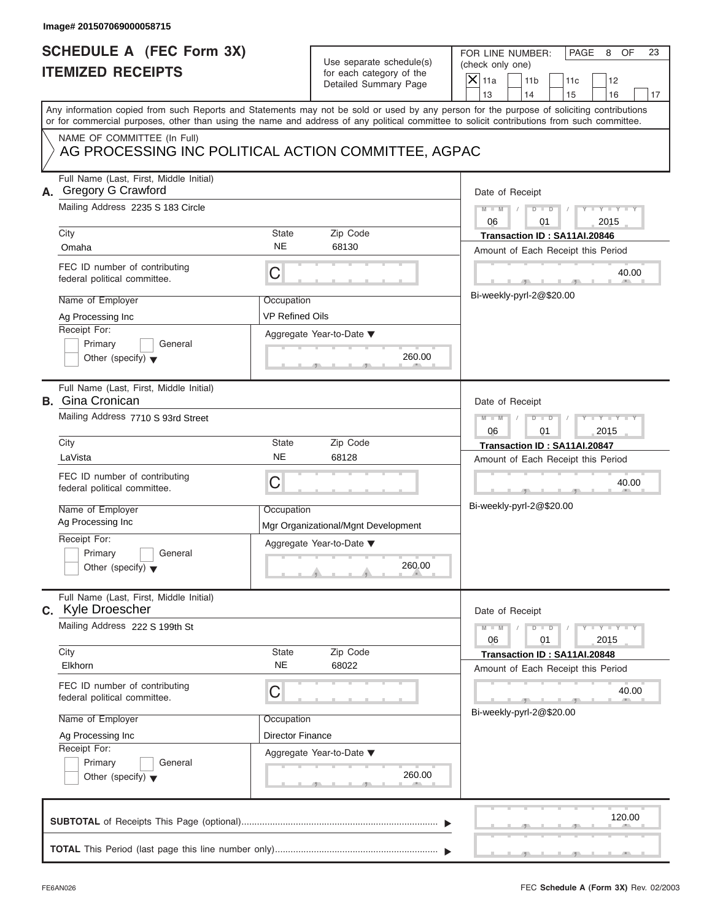### **Image# 201507069000058715**

## **SCHEDULE A (FEC Form 3X) ITEMIZED RECEIPTS**

| SCHEDULE A (FEC Form 3X)<br><b>ITEMIZED RECEIPTS</b>                                                                                       | Use separate schedule(s)<br>for each category of the<br>Detailed Summary Page | FOR LINE NUMBER:<br>PAGE<br>8<br>OF<br>23<br>(check only one)<br>$\overline{X}$ 11a<br>11 <sub>b</sub><br>12<br>11c                           |
|--------------------------------------------------------------------------------------------------------------------------------------------|-------------------------------------------------------------------------------|-----------------------------------------------------------------------------------------------------------------------------------------------|
| Any information copied from such Reports and Statements may not be sold or used by any person for the purpose of soliciting contributions  |                                                                               | 13<br>14<br>15<br>16<br>17                                                                                                                    |
| or for commercial purposes, other than using the name and address of any political committee to solicit contributions from such committee. |                                                                               |                                                                                                                                               |
| NAME OF COMMITTEE (In Full)<br>AG PROCESSING INC POLITICAL ACTION COMMITTEE, AGPAC                                                         |                                                                               |                                                                                                                                               |
| Full Name (Last, First, Middle Initial)<br>A. Gregory G Crawford                                                                           |                                                                               | Date of Receipt                                                                                                                               |
| Mailing Address 2235 S 183 Circle<br>City                                                                                                  | State<br>Zip Code                                                             | $M - M$<br>$Y - Y - I$<br>$D$ $D$<br>06<br>2015<br>01<br>Transaction ID: SA11AI.20846                                                         |
| Omaha                                                                                                                                      | <b>NE</b><br>68130                                                            | Amount of Each Receipt this Period                                                                                                            |
| FEC ID number of contributing<br>federal political committee.                                                                              | C                                                                             | 40.00<br>-91-                                                                                                                                 |
| Name of Employer<br>Ag Processing Inc                                                                                                      | Occupation<br><b>VP Refined Oils</b>                                          | Bi-weekly-pyrl-2@\$20.00                                                                                                                      |
| Receipt For:<br>Primary<br>General                                                                                                         | Aggregate Year-to-Date ▼                                                      |                                                                                                                                               |
| Other (specify) $\blacktriangledown$                                                                                                       | 260.00                                                                        |                                                                                                                                               |
| Full Name (Last, First, Middle Initial)<br><b>B.</b> Gina Cronican                                                                         |                                                                               | Date of Receipt                                                                                                                               |
| Mailing Address 7710 S 93rd Street                                                                                                         |                                                                               | $M - M$<br>$D$ $D$<br>2015<br>06<br>01                                                                                                        |
| City<br>LaVista                                                                                                                            | Zip Code<br>State<br>NE<br>68128                                              | Transaction ID: SA11AI.20847                                                                                                                  |
| FEC ID number of contributing<br>federal political committee.                                                                              | С                                                                             | Amount of Each Receipt this Period<br>40.00<br>-91-                                                                                           |
| Name of Employer<br>Ag Processing Inc                                                                                                      | Occupation<br>Mgr Organizational/Mgnt Development                             | Bi-weekly-pyrl-2@\$20.00                                                                                                                      |
| Receipt For:                                                                                                                               | Aggregate Year-to-Date ▼                                                      |                                                                                                                                               |
| Primary<br>General<br>Other (specify) $\blacktriangledown$                                                                                 | 260.00                                                                        |                                                                                                                                               |
| Full Name (Last, First, Middle Initial)<br>C. Kyle Droescher                                                                               |                                                                               | Date of Receipt                                                                                                                               |
| Mailing Address 222 S 199th St                                                                                                             |                                                                               | $M - M$<br>$\mathbf{I} = \mathbf{Y} - \mathbf{I} - \mathbf{Y} - \mathbf{I}$<br>$\overline{D}$<br>$\overline{\phantom{a}}$<br>01<br>06<br>2015 |
| City<br>Elkhorn                                                                                                                            | Zip Code<br>State<br><b>NE</b><br>68022                                       | Transaction ID: SA11AI.20848<br>Amount of Each Receipt this Period                                                                            |
| FEC ID number of contributing<br>federal political committee.                                                                              | С                                                                             | 40.00                                                                                                                                         |
| Name of Employer                                                                                                                           | Occupation                                                                    | Bi-weekly-pyrl-2@\$20.00                                                                                                                      |
| Ag Processing Inc<br>Receipt For:                                                                                                          | <b>Director Finance</b>                                                       |                                                                                                                                               |
| Primary<br>General<br>Other (specify) $\blacktriangledown$                                                                                 | Aggregate Year-to-Date ▼<br>260.00                                            |                                                                                                                                               |
|                                                                                                                                            |                                                                               | 120.00                                                                                                                                        |
|                                                                                                                                            |                                                                               |                                                                                                                                               |

 $\mathcal{T}$  s s  $\mathcal{T}$  , and  $\mathcal{T}$  , .

FOR LINE NUMBER: PAGE 8 OF<br>(check only one)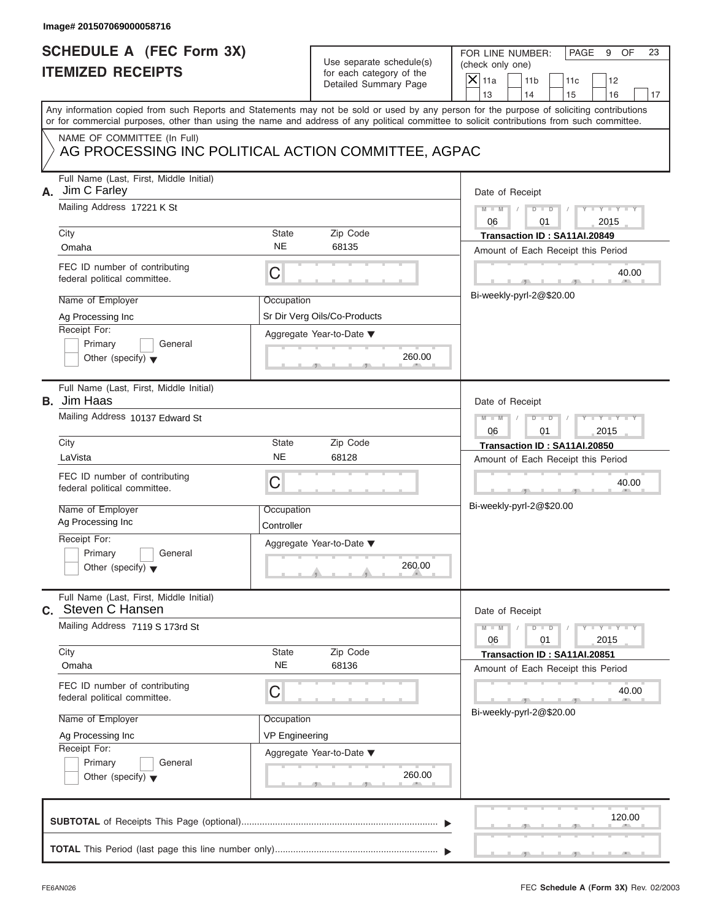### **Image# 201507069000058716**

## **SCHEDULE A (FEC Form 3X) ITEMIZED RECEIPTS**

FOR LINE NUMBER: PAGE 9 OF<br>(check only one)

| SCHEDULE A (FEC Form 3X)<br><b>ITEMIZED RECEIPTS</b>                                                                                                                                                                                                                                    |                       | Use separate schedule(s)<br>for each category of the | FOR LINE NUMBER:<br>PAGE<br>9<br>OF<br>23<br>(check only one)         |
|-----------------------------------------------------------------------------------------------------------------------------------------------------------------------------------------------------------------------------------------------------------------------------------------|-----------------------|------------------------------------------------------|-----------------------------------------------------------------------|
|                                                                                                                                                                                                                                                                                         |                       | Detailed Summary Page                                | $X$ 11a<br>11 <sub>b</sub><br>11c<br>12<br>13<br>14<br>16<br>15<br>17 |
| Any information copied from such Reports and Statements may not be sold or used by any person for the purpose of soliciting contributions<br>or for commercial purposes, other than using the name and address of any political committee to solicit contributions from such committee. |                       |                                                      |                                                                       |
| NAME OF COMMITTEE (In Full)<br>AG PROCESSING INC POLITICAL ACTION COMMITTEE, AGPAC                                                                                                                                                                                                      |                       |                                                      |                                                                       |
| Full Name (Last, First, Middle Initial)<br>Jim C Farley<br>А.                                                                                                                                                                                                                           |                       |                                                      | Date of Receipt                                                       |
| Mailing Address 17221 K St<br>City                                                                                                                                                                                                                                                      | State                 | Zip Code                                             | $M - M$<br>$D$ $D$<br>06<br>2015<br>01                                |
| Omaha                                                                                                                                                                                                                                                                                   | <b>NE</b>             | 68135                                                | Transaction ID: SA11AI.20849<br>Amount of Each Receipt this Period    |
| FEC ID number of contributing<br>federal political committee.                                                                                                                                                                                                                           | С                     |                                                      | 40.00                                                                 |
| Name of Employer                                                                                                                                                                                                                                                                        | Occupation            |                                                      | Bi-weekly-pyrl-2@\$20.00                                              |
| Ag Processing Inc<br>Receipt For:                                                                                                                                                                                                                                                       |                       | Sr Dir Verg Oils/Co-Products                         |                                                                       |
| Primary<br>General                                                                                                                                                                                                                                                                      |                       | Aggregate Year-to-Date ▼                             |                                                                       |
| Other (specify) $\blacktriangledown$                                                                                                                                                                                                                                                    |                       | 260.00                                               |                                                                       |
| Full Name (Last, First, Middle Initial)<br><b>B.</b> Jim Haas                                                                                                                                                                                                                           |                       |                                                      | Date of Receipt                                                       |
| Mailing Address 10137 Edward St                                                                                                                                                                                                                                                         |                       |                                                      | $M - M$<br>$D$ $D$<br>2015<br>06<br>01                                |
| City                                                                                                                                                                                                                                                                                    | <b>State</b>          | Zip Code                                             | Transaction ID: SA11AI.20850                                          |
| LaVista                                                                                                                                                                                                                                                                                 | <b>NE</b>             | 68128                                                | Amount of Each Receipt this Period                                    |
| FEC ID number of contributing<br>federal political committee.                                                                                                                                                                                                                           | С                     |                                                      | 40.00                                                                 |
| Name of Employer<br>Ag Processing Inc                                                                                                                                                                                                                                                   | Occupation            |                                                      | Bi-weekly-pyrl-2@\$20.00                                              |
| Receipt For:                                                                                                                                                                                                                                                                            | Controller            |                                                      |                                                                       |
| Primary<br>General                                                                                                                                                                                                                                                                      |                       | Aggregate Year-to-Date ▼                             |                                                                       |
| Other (specify) $\blacktriangledown$                                                                                                                                                                                                                                                    |                       | 260.00<br>and in                                     |                                                                       |
| Full Name (Last, First, Middle Initial)<br>C. Steven C Hansen                                                                                                                                                                                                                           |                       |                                                      | Date of Receipt                                                       |
| Mailing Address 7119 S 173rd St                                                                                                                                                                                                                                                         |                       |                                                      | $M - M$<br>$Y = Y$<br>D<br>$\Box$<br>T<br>06<br>01<br>2015            |
| City                                                                                                                                                                                                                                                                                    | State                 | Zip Code                                             | Transaction ID: SA11AI.20851                                          |
| Omaha                                                                                                                                                                                                                                                                                   | <b>NE</b>             | 68136                                                | Amount of Each Receipt this Period                                    |
| FEC ID number of contributing<br>federal political committee.                                                                                                                                                                                                                           | С                     |                                                      | 40.00<br>Bi-weekly-pyrl-2@\$20.00                                     |
| Name of Employer                                                                                                                                                                                                                                                                        | Occupation            |                                                      |                                                                       |
| Ag Processing Inc<br>Receipt For:                                                                                                                                                                                                                                                       | <b>VP Engineering</b> |                                                      |                                                                       |
| Primary<br>General                                                                                                                                                                                                                                                                      |                       | Aggregate Year-to-Date ▼                             |                                                                       |
| Other (specify) $\blacktriangledown$                                                                                                                                                                                                                                                    |                       | 260.00                                               |                                                                       |
|                                                                                                                                                                                                                                                                                         |                       |                                                      | 120.00                                                                |
|                                                                                                                                                                                                                                                                                         |                       |                                                      |                                                                       |

S S S , , .

a.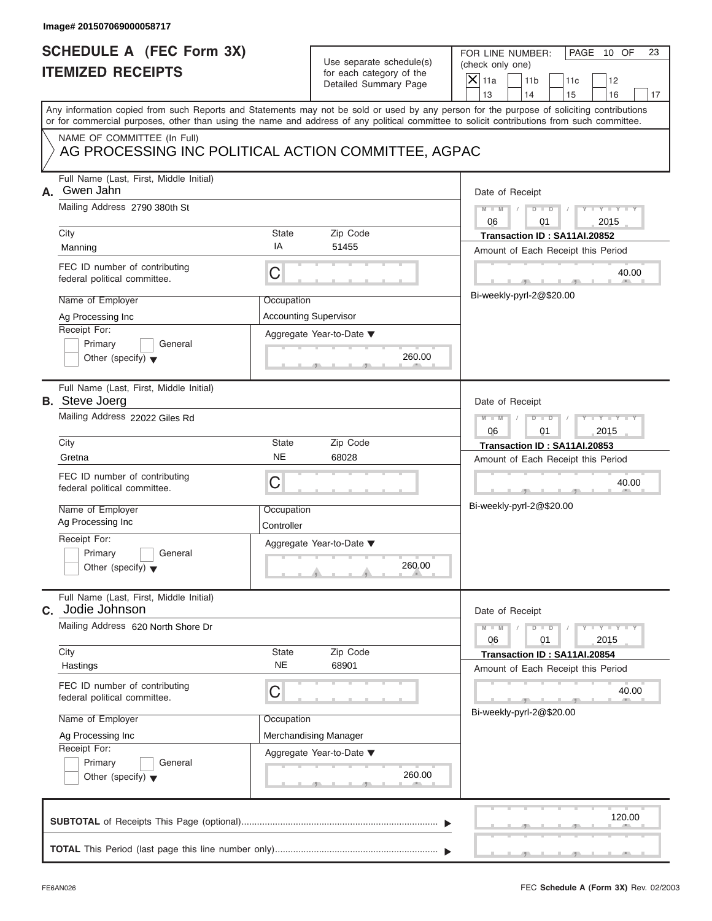| Image# 201507069000058717                                                                                                                                                                                                                                                                                        |                                                                                                                           |                                                                                                                                                                                      |
|------------------------------------------------------------------------------------------------------------------------------------------------------------------------------------------------------------------------------------------------------------------------------------------------------------------|---------------------------------------------------------------------------------------------------------------------------|--------------------------------------------------------------------------------------------------------------------------------------------------------------------------------------|
| <b>SCHEDULE A (FEC Form 3X)</b><br><b>ITEMIZED RECEIPTS</b>                                                                                                                                                                                                                                                      | Use separate schedule(s)<br>for each category of the<br>Detailed Summary Page                                             | FOR LINE NUMBER:<br>PAGE 10 OF<br>23<br>(check only one)<br>$\mathsf{X}$ 11a<br>11 <sub>b</sub><br>11c<br>12<br>13<br>14<br>15<br>16<br>17                                           |
| Any information copied from such Reports and Statements may not be sold or used by any person for the purpose of soliciting contributions<br>or for commercial purposes, other than using the name and address of any political committee to solicit contributions from such committee.                          |                                                                                                                           |                                                                                                                                                                                      |
| NAME OF COMMITTEE (In Full)                                                                                                                                                                                                                                                                                      | AG PROCESSING INC POLITICAL ACTION COMMITTEE, AGPAC                                                                       |                                                                                                                                                                                      |
| Full Name (Last, First, Middle Initial)<br>Gwen Jahn<br>А.<br>Mailing Address 2790 380th St<br>City<br>Manning<br>FEC ID number of contributing<br>federal political committee.                                                                                                                                  | State<br>Zip Code<br>IA<br>51455<br>C                                                                                     | Date of Receipt<br>$M - M$<br>$D$ $D$<br>Y TYT<br>2015<br>06<br>01<br>Transaction ID: SA11AI.20852<br>Amount of Each Receipt this Period<br>40.00                                    |
| Name of Employer<br>Ag Processing Inc<br>Receipt For:<br>Primary<br>General<br>Other (specify) $\blacktriangledown$                                                                                                                                                                                              | Occupation<br><b>Accounting Supervisor</b><br>Aggregate Year-to-Date ▼<br>260.00                                          | Bi-weekly-pyrl-2@\$20.00                                                                                                                                                             |
| Full Name (Last, First, Middle Initial)<br><b>B.</b> Steve Joerg<br>Mailing Address 22022 Giles Rd<br>City<br>Gretna<br>FEC ID number of contributing<br>federal political committee.<br>Name of Employer<br>Ag Processing Inc<br>Receipt For:<br>Primary<br>General<br>Other (specify) $\blacktriangledown$     | State<br>Zip Code<br><b>NE</b><br>68028<br>C<br>Occupation<br>Controller<br>Aggregate Year-to-Date ▼<br>260.00            | Date of Receipt<br>$M - M$<br>$D$ $\Box$ $D$<br>Y Y I<br>06<br>01<br>2015<br>Transaction ID: SA11AI.20853<br>Amount of Each Receipt this Period<br>40.00<br>Bi-weekly-pyrl-2@\$20.00 |
| Full Name (Last, First, Middle Initial)<br>Jodie Johnson<br>С.<br>Mailing Address 620 North Shore Dr<br>City<br>Hastings<br>FEC ID number of contributing<br>federal political committee.<br>Name of Employer<br>Ag Processing Inc<br>Receipt For:<br>Primary<br>General<br>Other (specify) $\blacktriangledown$ | Zip Code<br>State<br><b>NE</b><br>68901<br>С<br>Occupation<br>Merchandising Manager<br>Aggregate Year-to-Date ▼<br>260.00 | Date of Receipt<br>$Y - Y$<br>$M - M$<br>$D - D$<br>2015<br>06<br>01<br>Transaction ID: SA11AI.20854<br>Amount of Each Receipt this Period<br>40.00<br>Bi-weekly-pyrl-2@\$20.00      |
|                                                                                                                                                                                                                                                                                                                  |                                                                                                                           | 120.00                                                                                                                                                                               |

S S S , , .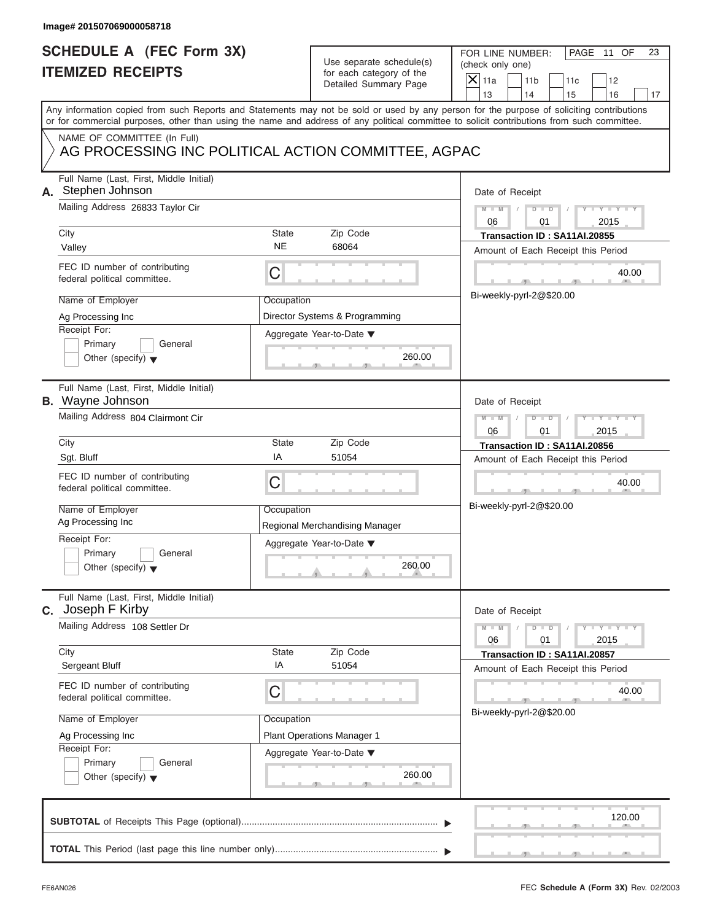| <b>SCHEDULE A (FEC Form 3X)</b><br><b>ITEMIZED RECEIPTS</b><br>Any information copied from such Reports and Statements may not be sold or used by any person for the purpose of soliciting contributions                                                                                                         | Use separate schedule(s)<br>for each category of the<br>Detailed Summary Page                                            | FOR LINE NUMBER:<br>PAGE 11 OF<br>23<br>(check only one)<br>$\mathsf{X}$ 11a<br>11 <sub>b</sub><br>11c<br>12<br>13<br>14<br>15<br>16<br>17                                                 |
|------------------------------------------------------------------------------------------------------------------------------------------------------------------------------------------------------------------------------------------------------------------------------------------------------------------|--------------------------------------------------------------------------------------------------------------------------|--------------------------------------------------------------------------------------------------------------------------------------------------------------------------------------------|
|                                                                                                                                                                                                                                                                                                                  |                                                                                                                          |                                                                                                                                                                                            |
| or for commercial purposes, other than using the name and address of any political committee to solicit contributions from such committee.                                                                                                                                                                       |                                                                                                                          |                                                                                                                                                                                            |
| NAME OF COMMITTEE (In Full)<br>AG PROCESSING INC POLITICAL ACTION COMMITTEE, AGPAC                                                                                                                                                                                                                               |                                                                                                                          |                                                                                                                                                                                            |
| Full Name (Last, First, Middle Initial)<br>A. Stephen Johnson<br>Mailing Address 26833 Taylor Cir<br>City<br>Valley<br>FEC ID number of contributing<br>federal political committee.<br>Name of Employer<br>Ag Processing Inc<br>Receipt For:<br>Primary<br>General                                              | State<br>Zip Code<br><b>NE</b><br>68064<br>C<br>Occupation<br>Director Systems & Programming<br>Aggregate Year-to-Date ▼ | Date of Receipt<br>$M - M$<br>$D$ $\Box$ $D$<br>$Y - Y - I$<br>2015<br>06<br>01<br>Transaction ID: SA11AI.20855<br>Amount of Each Receipt this Period<br>40.00<br>Bi-weekly-pyrl-2@\$20.00 |
| Other (specify) $\blacktriangledown$<br>Full Name (Last, First, Middle Initial)<br><b>B.</b> Wayne Johnson<br>Mailing Address 804 Clairmont Cir<br>City                                                                                                                                                          | 260.00<br>State<br>Zip Code                                                                                              | Date of Receipt<br>$M - M$<br>$D$ $D$<br>$Y - Y - I$<br>06<br>01<br>2015                                                                                                                   |
| Sgt. Bluff<br>FEC ID number of contributing<br>federal political committee.<br>Name of Employer<br>Ag Processing Inc<br>Receipt For:<br>Primary<br>General<br>Other (specify) $\blacktriangledown$                                                                                                               | ΙA<br>51054<br>C<br>Occupation<br>Regional Merchandising Manager<br>Aggregate Year-to-Date ▼<br>260.00                   | Transaction ID: SA11AI.20856<br>Amount of Each Receipt this Period<br>40.00<br>Bi-weekly-pyrl-2@\$20.00                                                                                    |
| Full Name (Last, First, Middle Initial)<br>C. Joseph F Kirby<br>Mailing Address 108 Settler Dr<br>City<br>Sergeant Bluff<br>FEC ID number of contributing<br>federal political committee.<br>Name of Employer<br>Ag Processing Inc<br>Receipt For:<br>Primary<br>General<br>Other (specify) $\blacktriangledown$ | Zip Code<br>State<br>IA<br>51054<br>С<br>Occupation<br>Plant Operations Manager 1<br>Aggregate Year-to-Date ▼<br>260.00  | Date of Receipt<br>$Y - Y$<br>$M - M$<br>$D$ $D$<br>2015<br>06<br>01<br>Transaction ID: SA11AI.20857<br>Amount of Each Receipt this Period<br>40.00<br>Bi-weekly-pyrl-2@\$20.00            |
|                                                                                                                                                                                                                                                                                                                  |                                                                                                                          | 120.00                                                                                                                                                                                     |

S S S , , .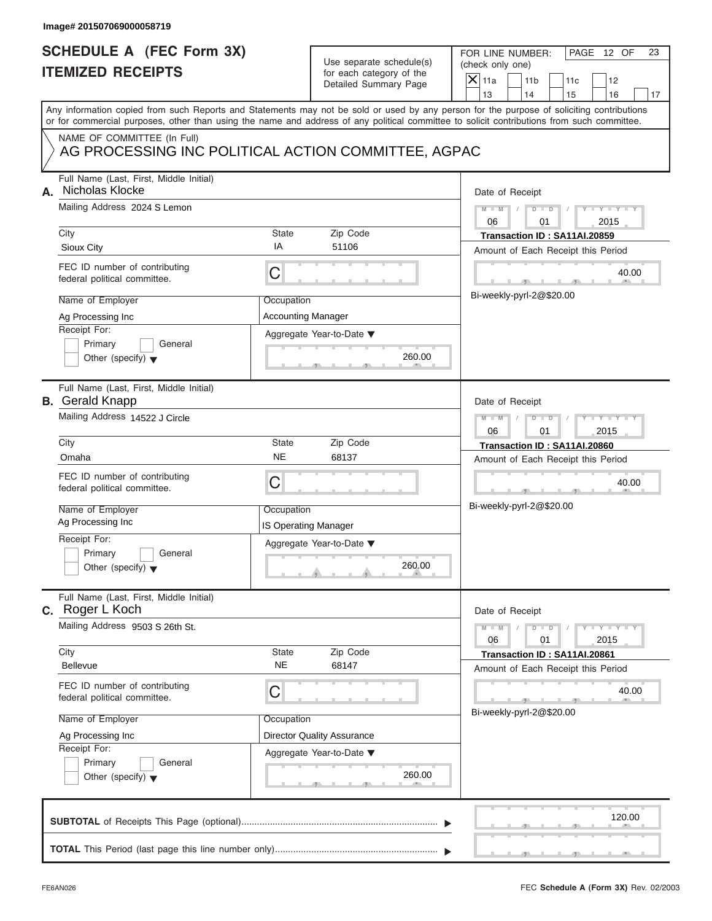|    | Image# 201507069000058719                                                                                                                                                                                                                                                                                                                               |                                                                      |                                                                                              |                                                                                                                                                                                     |
|----|---------------------------------------------------------------------------------------------------------------------------------------------------------------------------------------------------------------------------------------------------------------------------------------------------------------------------------------------------------|----------------------------------------------------------------------|----------------------------------------------------------------------------------------------|-------------------------------------------------------------------------------------------------------------------------------------------------------------------------------------|
|    | <b>SCHEDULE A (FEC Form 3X)</b><br><b>ITEMIZED RECEIPTS</b>                                                                                                                                                                                                                                                                                             |                                                                      | Use separate schedule(s)<br>for each category of the<br>Detailed Summary Page                | FOR LINE NUMBER:<br>PAGE 12 OF<br>23<br>(check only one)<br>$\mathsf{X}$ 11a<br>11 <sub>b</sub><br>11c<br>12<br>13<br>14<br>15<br>16<br>17                                          |
|    | or for commercial purposes, other than using the name and address of any political committee to solicit contributions from such committee.                                                                                                                                                                                                              |                                                                      |                                                                                              | Any information copied from such Reports and Statements may not be sold or used by any person for the purpose of soliciting contributions                                           |
|    | NAME OF COMMITTEE (In Full)<br>AG PROCESSING INC POLITICAL ACTION COMMITTEE, AGPAC                                                                                                                                                                                                                                                                      |                                                                      |                                                                                              |                                                                                                                                                                                     |
| А. | Full Name (Last, First, Middle Initial)<br>Nicholas Klocke<br>Mailing Address 2024 S Lemon<br>City<br>Sioux City<br>FEC ID number of contributing<br>federal political committee.<br>Name of Employer<br>Ag Processing Inc<br>Receipt For:                                                                                                              | State<br>IA<br>C<br>Occupation<br><b>Accounting Manager</b>          | Zip Code<br>51106                                                                            | Date of Receipt<br>$M - M$<br>$D$ $D$<br>$Y - Y - I$<br>2015<br>06<br>01<br>Transaction ID: SA11AI.20859<br>Amount of Each Receipt this Period<br>40.00<br>Bi-weekly-pyrl-2@\$20.00 |
|    | Primary<br>General<br>Other (specify) $\blacktriangledown$                                                                                                                                                                                                                                                                                              |                                                                      | Aggregate Year-to-Date ▼<br>260.00                                                           |                                                                                                                                                                                     |
|    | Full Name (Last, First, Middle Initial)<br><b>B.</b> Gerald Knapp<br>Mailing Address 14522 J Circle<br>City<br>Omaha<br>FEC ID number of contributing<br>federal political committee.<br>Name of Employer<br>Ag Processing Inc<br>Receipt For:<br>Primary<br>General<br>Other (specify) $\blacktriangledown$<br>Full Name (Last, First, Middle Initial) | State<br><b>NE</b><br>C<br>Occupation<br><b>IS Operating Manager</b> | Zip Code<br>68137<br>Aggregate Year-to-Date ▼<br>260.00                                      | Date of Receipt<br>$M - M$<br>$D$ $D$<br>$Y - Y - I$<br>06<br>01<br>2015<br>Transaction ID: SA11AI.20860<br>Amount of Each Receipt this Period<br>40.00<br>Bi-weekly-pyrl-2@\$20.00 |
|    | C. Roger L Koch<br>Mailing Address 9503 S 26th St.<br>City<br>Bellevue<br>FEC ID number of contributing<br>federal political committee.<br>Name of Employer<br>Ag Processing Inc<br>Receipt For:<br>Primary<br>General<br>Other (specify) $\blacktriangledown$                                                                                          | State<br><b>NE</b><br>С<br>Occupation                                | Zip Code<br>68147<br><b>Director Quality Assurance</b><br>Aggregate Year-to-Date ▼<br>260.00 | Date of Receipt<br>$M - M$<br>$Y - Y$<br>$D - D$<br>2015<br>06<br>01<br>Transaction ID: SA11AI.20861<br>Amount of Each Receipt this Period<br>40.00<br>Bi-weekly-pyrl-2@\$20.00     |
|    |                                                                                                                                                                                                                                                                                                                                                         |                                                                      |                                                                                              | 120.00                                                                                                                                                                              |
|    |                                                                                                                                                                                                                                                                                                                                                         |                                                                      |                                                                                              |                                                                                                                                                                                     |

S S S , , .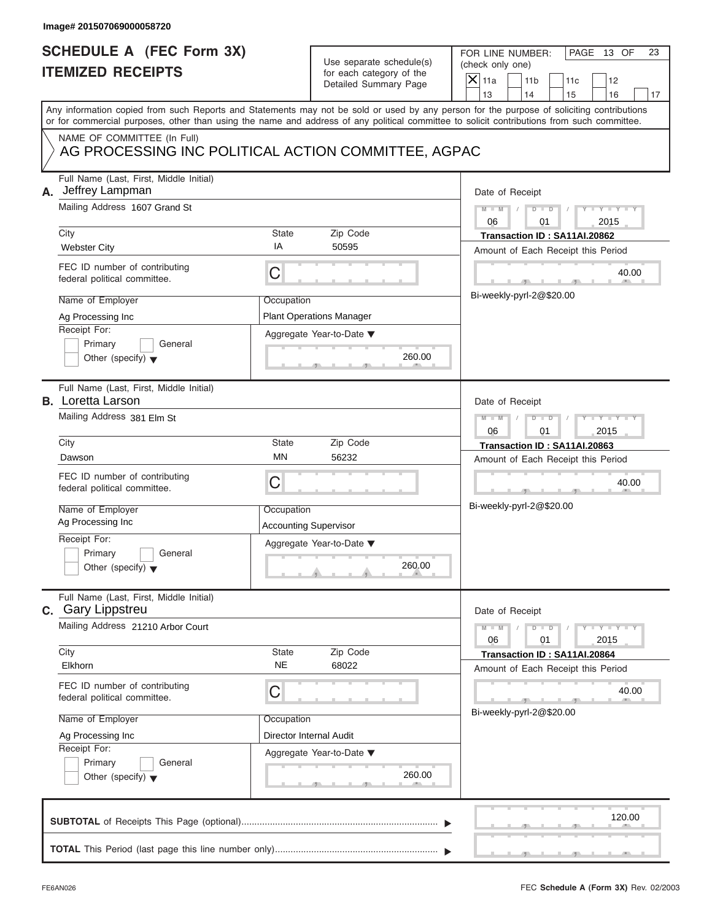| Image# 201507069000058720                                                                                                                                                                                                                                                                                           |                                                                                                                                  |                                                                                                                                                                                     |
|---------------------------------------------------------------------------------------------------------------------------------------------------------------------------------------------------------------------------------------------------------------------------------------------------------------------|----------------------------------------------------------------------------------------------------------------------------------|-------------------------------------------------------------------------------------------------------------------------------------------------------------------------------------|
| <b>SCHEDULE A (FEC Form 3X)</b><br><b>ITEMIZED RECEIPTS</b>                                                                                                                                                                                                                                                         | Use separate schedule(s)<br>for each category of the<br>Detailed Summary Page                                                    | FOR LINE NUMBER:<br>PAGE 13 OF<br>23<br>(check only one)<br>$\mathsf{X}$ 11a<br>11 <sub>b</sub><br>11c<br>12<br>14                                                                  |
| Any information copied from such Reports and Statements may not be sold or used by any person for the purpose of soliciting contributions<br>or for commercial purposes, other than using the name and address of any political committee to solicit contributions from such committee.                             |                                                                                                                                  | 13<br>15<br>16<br>17                                                                                                                                                                |
| NAME OF COMMITTEE (In Full)                                                                                                                                                                                                                                                                                         | AG PROCESSING INC POLITICAL ACTION COMMITTEE, AGPAC                                                                              |                                                                                                                                                                                     |
| Full Name (Last, First, Middle Initial)<br>Jeffrey Lampman<br>А.<br>Mailing Address 1607 Grand St<br>City<br><b>Webster City</b><br>FEC ID number of contributing<br>federal political committee.<br>Name of Employer                                                                                               | State<br>Zip Code<br>IA<br>50595<br>C<br>Occupation                                                                              | Date of Receipt<br>$M - M$<br>$D$ $D$<br>Y TYT<br>2015<br>06<br>01<br>Transaction ID: SA11AI.20862<br>Amount of Each Receipt this Period<br>40.00<br>Bi-weekly-pyrl-2@\$20.00       |
| Ag Processing Inc<br>Receipt For:<br>Primary<br>General<br>Other (specify) $\blacktriangledown$                                                                                                                                                                                                                     | <b>Plant Operations Manager</b><br>Aggregate Year-to-Date ▼<br>260.00                                                            |                                                                                                                                                                                     |
| Full Name (Last, First, Middle Initial)<br><b>B.</b> Loretta Larson<br>Mailing Address 381 Elm St<br>City<br>Dawson<br>FEC ID number of contributing<br>federal political committee.<br>Name of Employer<br>Ag Processing Inc<br>Receipt For:<br>Primary<br>General<br>Other (specify) $\blacktriangledown$         | State<br>Zip Code<br><b>MN</b><br>56232<br>С<br>Occupation<br><b>Accounting Supervisor</b><br>Aggregate Year-to-Date ▼<br>260.00 | Date of Receipt<br>$M - M$<br>$D$ $D$<br>$Y - Y - I$<br>06<br>01<br>2015<br>Transaction ID: SA11AI.20863<br>Amount of Each Receipt this Period<br>40.00<br>Bi-weekly-pyrl-2@\$20.00 |
| Full Name (Last, First, Middle Initial)<br><b>C.</b> Gary Lippstreu<br>Mailing Address 21210 Arbor Court<br>City<br>Elkhorn<br>FEC ID number of contributing<br>federal political committee.<br>Name of Employer<br>Ag Processing Inc<br>Receipt For:<br>Primary<br>General<br>Other (specify) $\blacktriangledown$ | Zip Code<br>State<br><b>NE</b><br>68022<br>С<br>Occupation<br>Director Internal Audit<br>Aggregate Year-to-Date ▼<br>260.00      | Date of Receipt<br>$M - M$<br>$Y - Y$<br>$D - D$<br>2015<br>06<br>01<br>Transaction ID: SA11AI.20864<br>Amount of Each Receipt this Period<br>40.00<br>Bi-weekly-pyrl-2@\$20.00     |
|                                                                                                                                                                                                                                                                                                                     |                                                                                                                                  | 120.00                                                                                                                                                                              |

S S S , , .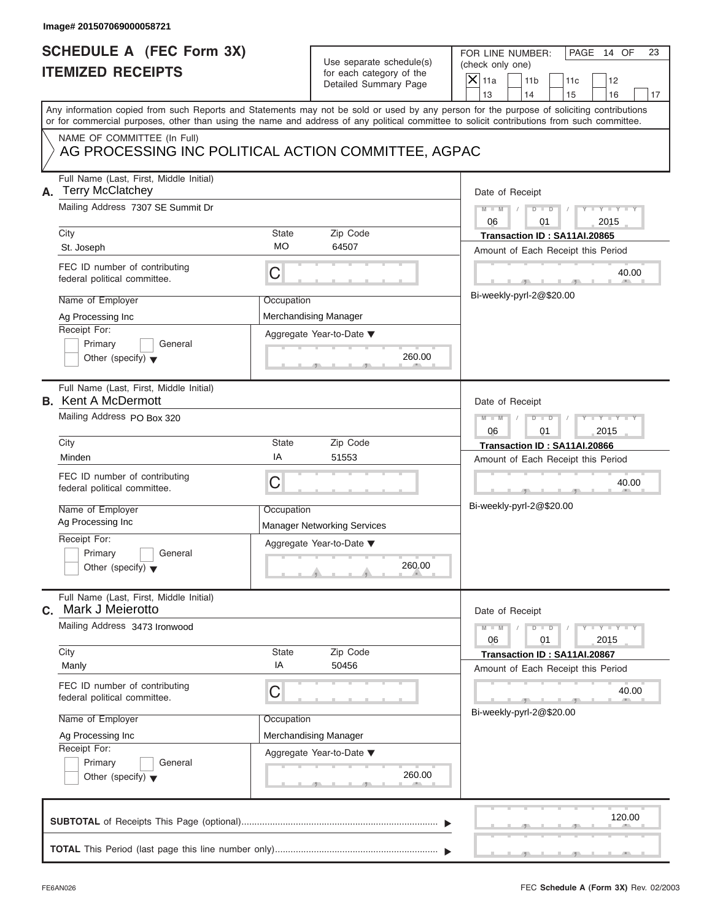| Image# 201507069000058721                                                                                                                                                                                                                                                               |                                                           |                                                                               |                                                                                                                                |          |
|-----------------------------------------------------------------------------------------------------------------------------------------------------------------------------------------------------------------------------------------------------------------------------------------|-----------------------------------------------------------|-------------------------------------------------------------------------------|--------------------------------------------------------------------------------------------------------------------------------|----------|
| <b>SCHEDULE A (FEC Form 3X)</b><br><b>ITEMIZED RECEIPTS</b>                                                                                                                                                                                                                             |                                                           | Use separate schedule(s)<br>for each category of the<br>Detailed Summary Page | FOR LINE NUMBER:<br>PAGE 14 OF<br>(check only one)<br>$\mathsf{X}$ 11a<br>11 <sub>b</sub><br>11c<br>12<br>13<br>14<br>15<br>16 | 23<br>17 |
| Any information copied from such Reports and Statements may not be sold or used by any person for the purpose of soliciting contributions<br>or for commercial purposes, other than using the name and address of any political committee to solicit contributions from such committee. |                                                           |                                                                               |                                                                                                                                |          |
| NAME OF COMMITTEE (In Full)<br>AG PROCESSING INC POLITICAL ACTION COMMITTEE, AGPAC                                                                                                                                                                                                      |                                                           |                                                                               |                                                                                                                                |          |
| Full Name (Last, First, Middle Initial)<br><b>Terry McClatchey</b><br>А.<br>Mailing Address 7307 SE Summit Dr                                                                                                                                                                           |                                                           |                                                                               | Date of Receipt<br>$M - M$<br>$D$ $D$<br>$Y = Y + Y + Y$                                                                       |          |
| City                                                                                                                                                                                                                                                                                    | State                                                     | Zip Code                                                                      | 06<br>01<br>2015<br>Transaction ID: SA11AI.20865                                                                               |          |
| St. Joseph                                                                                                                                                                                                                                                                              | <b>MO</b>                                                 | 64507                                                                         | Amount of Each Receipt this Period                                                                                             |          |
| FEC ID number of contributing<br>federal political committee.                                                                                                                                                                                                                           | С                                                         |                                                                               |                                                                                                                                | 40.00    |
| Name of Employer<br>Ag Processing Inc                                                                                                                                                                                                                                                   | Occupation                                                | Merchandising Manager                                                         | Bi-weekly-pyrl-2@\$20.00                                                                                                       |          |
| Receipt For:<br>Primary<br>General<br>Other (specify) $\blacktriangledown$                                                                                                                                                                                                              | Aggregate Year-to-Date ▼                                  |                                                                               |                                                                                                                                |          |
| Full Name (Last, First, Middle Initial)<br><b>B.</b> Kent A McDermott                                                                                                                                                                                                                   |                                                           |                                                                               | Date of Receipt                                                                                                                |          |
| Mailing Address PO Box 320                                                                                                                                                                                                                                                              | $M - M$<br>$D - I - D$<br>Y T Y T Y T<br>2015<br>06<br>01 |                                                                               |                                                                                                                                |          |
| City                                                                                                                                                                                                                                                                                    | State                                                     | Zip Code                                                                      | Transaction ID: SA11AI.20866                                                                                                   |          |
| Minden                                                                                                                                                                                                                                                                                  | ΙA                                                        | 51553                                                                         | Amount of Each Receipt this Period                                                                                             |          |
| FEC ID number of contributing<br>federal political committee.                                                                                                                                                                                                                           | C                                                         |                                                                               |                                                                                                                                | 40.00    |
| Name of Employer<br>Ag Processing Inc                                                                                                                                                                                                                                                   | Occupation                                                | <b>Manager Networking Services</b>                                            | Bi-weekly-pyrl-2@\$20.00                                                                                                       |          |
| Receipt For:<br>Primary<br>General<br>Other (specify) $\blacktriangledown$                                                                                                                                                                                                              |                                                           | Aggregate Year-to-Date ▼<br>260.00                                            |                                                                                                                                |          |
| Full Name (Last, First, Middle Initial)<br>C. Mark J Meierotto                                                                                                                                                                                                                          |                                                           |                                                                               | Date of Receipt                                                                                                                |          |
| Mailing Address 3473 Ironwood                                                                                                                                                                                                                                                           |                                                           |                                                                               | $M - M$<br>$\mathbf{I} = \mathbf{Y} + \mathbf{Y}$<br>$D$ $D$<br>06<br>01<br>2015                                               |          |
| City<br>Manly                                                                                                                                                                                                                                                                           | State<br>ΙA                                               | Zip Code<br>50456                                                             | Transaction ID: SA11AI.20867<br>Amount of Each Receipt this Period                                                             |          |
| FEC ID number of contributing<br>federal political committee.                                                                                                                                                                                                                           | С                                                         |                                                                               |                                                                                                                                | 40.00    |
| Name of Employer                                                                                                                                                                                                                                                                        | Occupation                                                |                                                                               | Bi-weekly-pyrl-2@\$20.00                                                                                                       |          |
| Ag Processing Inc                                                                                                                                                                                                                                                                       |                                                           | Merchandising Manager                                                         |                                                                                                                                |          |
| Receipt For:<br>Primary<br>General<br>Other (specify) $\blacktriangledown$                                                                                                                                                                                                              |                                                           | Aggregate Year-to-Date ▼<br>260.00                                            |                                                                                                                                |          |
|                                                                                                                                                                                                                                                                                         |                                                           |                                                                               | 120.00                                                                                                                         |          |
|                                                                                                                                                                                                                                                                                         |                                                           |                                                                               |                                                                                                                                |          |

S S S , , .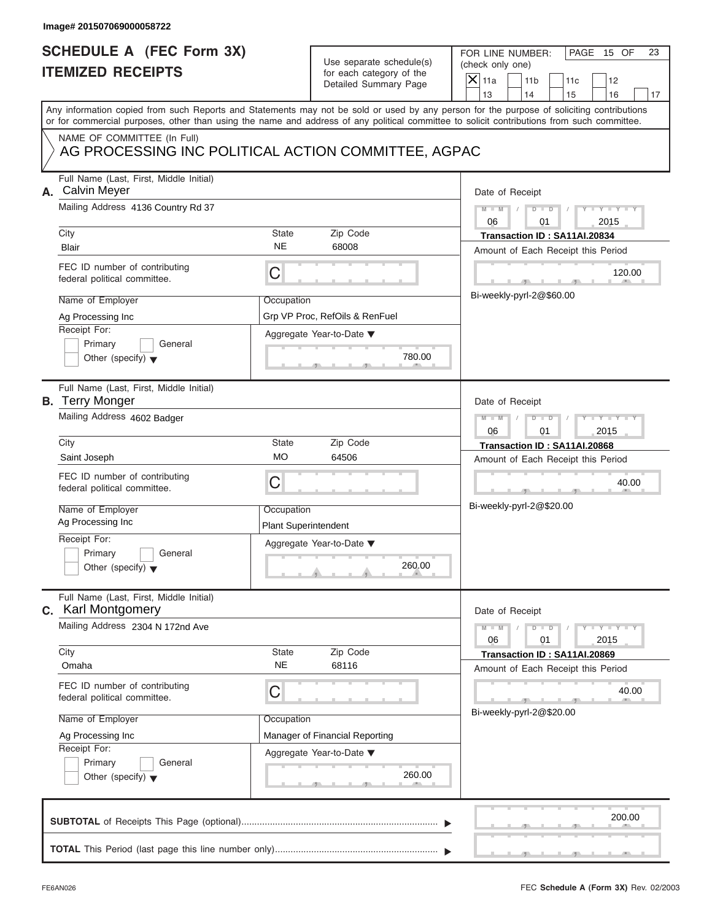| Image# 201507069000058722                                                                                                                                                                                                                                                                                         |                                                                                                                          |        |                                                                                                                                                                                     |
|-------------------------------------------------------------------------------------------------------------------------------------------------------------------------------------------------------------------------------------------------------------------------------------------------------------------|--------------------------------------------------------------------------------------------------------------------------|--------|-------------------------------------------------------------------------------------------------------------------------------------------------------------------------------------|
| <b>SCHEDULE A (FEC Form 3X)</b><br><b>ITEMIZED RECEIPTS</b>                                                                                                                                                                                                                                                       | Use separate schedule(s)<br>for each category of the<br>Detailed Summary Page                                            |        | FOR LINE NUMBER:<br>PAGE 15 OF<br>23<br>(check only one)<br>$\overline{X}$ 11a<br>11 <sub>b</sub><br>11c<br>12<br>13<br>14<br>15<br>16<br>17                                        |
| Any information copied from such Reports and Statements may not be sold or used by any person for the purpose of soliciting contributions<br>or for commercial purposes, other than using the name and address of any political committee to solicit contributions from such committee.                           |                                                                                                                          |        |                                                                                                                                                                                     |
| NAME OF COMMITTEE (In Full)<br>AG PROCESSING INC POLITICAL ACTION COMMITTEE, AGPAC                                                                                                                                                                                                                                |                                                                                                                          |        |                                                                                                                                                                                     |
| Full Name (Last, First, Middle Initial)<br>A. Calvin Meyer<br>Mailing Address 4136 Country Rd 37<br>City<br>Blair                                                                                                                                                                                                 | State<br>Zip Code<br><b>NE</b><br>68008                                                                                  |        | Date of Receipt<br>$M - M$<br>$D$ $D$<br>$Y - Y - I$<br>2015<br>06<br>01<br>Transaction ID: SA11AI.20834<br>Amount of Each Receipt this Period                                      |
| FEC ID number of contributing<br>federal political committee.<br>Name of Employer<br>Ag Processing Inc<br>Receipt For:<br>Primary<br>General<br>Other (specify) $\blacktriangledown$                                                                                                                              | C<br>Occupation<br>Grp VP Proc, RefOils & RenFuel<br>Aggregate Year-to-Date ▼                                            | 780.00 | 120.00<br>Bi-weekly-pyrl-2@\$60.00                                                                                                                                                  |
| Full Name (Last, First, Middle Initial)<br><b>B.</b> Terry Monger<br>Mailing Address 4602 Badger<br>City<br>Saint Joseph<br>FEC ID number of contributing<br>federal political committee.<br>Name of Employer<br>Ag Processing Inc<br>Receipt For:<br>Primary<br>General<br>Other (specify) $\blacktriangledown$  | State<br>Zip Code<br><b>MO</b><br>64506<br>С<br>Occupation<br><b>Plant Superintendent</b><br>Aggregate Year-to-Date ▼    | 260.00 | Date of Receipt<br>$M - M$<br>$D$ $D$<br>$Y - Y - I$<br>06<br>01<br>2015<br>Transaction ID: SA11AI.20868<br>Amount of Each Receipt this Period<br>40.00<br>Bi-weekly-pyrl-2@\$20.00 |
| Full Name (Last, First, Middle Initial)<br><b>C.</b> Karl Montgomery<br>Mailing Address 2304 N 172nd Ave<br>City<br>Omaha<br>FEC ID number of contributing<br>federal political committee.<br>Name of Employer<br>Ag Processing Inc<br>Receipt For:<br>Primary<br>General<br>Other (specify) $\blacktriangledown$ | Zip Code<br>State<br><b>NE</b><br>68116<br>С<br>Occupation<br>Manager of Financial Reporting<br>Aggregate Year-to-Date ▼ | 260.00 | Date of Receipt<br>$Y - Y$<br>$M - M$<br>$D$ $D$<br>2015<br>06<br>01<br>Transaction ID: SA11AI.20869<br>Amount of Each Receipt this Period<br>40.00<br>Bi-weekly-pyrl-2@\$20.00     |
|                                                                                                                                                                                                                                                                                                                   |                                                                                                                          |        | 200.00                                                                                                                                                                              |

 $\overline{y}$  , . . . . . . . . . . .  $\overline{y}$  , .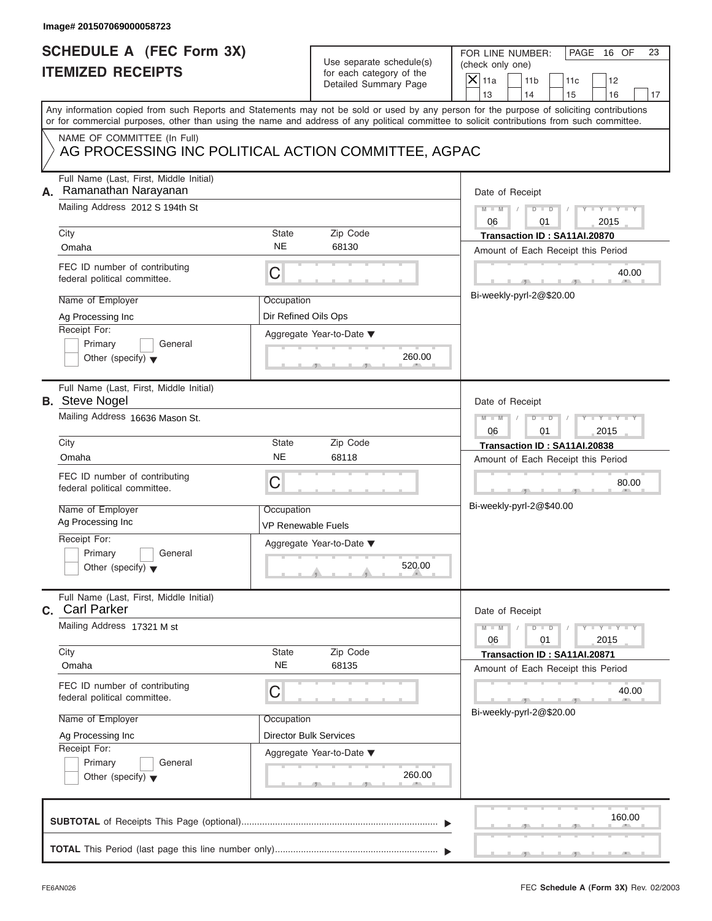# Use separate schedule(s) (check only one)<br>for each category of the  $\Box$

| Image# 201507069000058723                                                          |                                  |                                                      |                                                                                                                                                                                                                                                                                         |
|------------------------------------------------------------------------------------|----------------------------------|------------------------------------------------------|-----------------------------------------------------------------------------------------------------------------------------------------------------------------------------------------------------------------------------------------------------------------------------------------|
| <b>SCHEDULE A (FEC Form 3X)</b><br><b>ITEMIZED RECEIPTS</b>                        |                                  | Use separate schedule(s)<br>for each category of the | FOR LINE NUMBER:<br>PAGE 16 OF<br>23<br>(check only one)                                                                                                                                                                                                                                |
|                                                                                    |                                  | Detailed Summary Page                                | $\overline{X}$ 11a<br>11 <sub>b</sub><br>11c<br>12<br>13<br>14<br>15<br>16<br>17                                                                                                                                                                                                        |
|                                                                                    |                                  |                                                      | Any information copied from such Reports and Statements may not be sold or used by any person for the purpose of soliciting contributions<br>or for commercial purposes, other than using the name and address of any political committee to solicit contributions from such committee. |
| NAME OF COMMITTEE (In Full)<br>AG PROCESSING INC POLITICAL ACTION COMMITTEE, AGPAC |                                  |                                                      |                                                                                                                                                                                                                                                                                         |
| Full Name (Last, First, Middle Initial)<br>Ramanathan Narayanan<br>А.              |                                  |                                                      | Date of Receipt                                                                                                                                                                                                                                                                         |
| Mailing Address 2012 S 194th St                                                    |                                  |                                                      | $D$ $D$<br>$Y - Y - Y - Y - Y$<br>$M - M$<br>06<br>2015<br>01                                                                                                                                                                                                                           |
| City                                                                               | <b>State</b>                     | Zip Code                                             | Transaction ID: SA11AI.20870                                                                                                                                                                                                                                                            |
| Omaha                                                                              | <b>NE</b>                        | 68130                                                | Amount of Each Receipt this Period                                                                                                                                                                                                                                                      |
| FEC ID number of contributing<br>federal political committee.                      | C                                |                                                      | 40.00                                                                                                                                                                                                                                                                                   |
| Name of Employer                                                                   | Occupation                       |                                                      | Bi-weekly-pyrl-2@\$20.00                                                                                                                                                                                                                                                                |
| Ag Processing Inc                                                                  | Dir Refined Oils Ops             |                                                      |                                                                                                                                                                                                                                                                                         |
| Receipt For:<br>Primary<br>General<br>Other (specify) $\blacktriangledown$         |                                  | Aggregate Year-to-Date ▼<br>260.00                   |                                                                                                                                                                                                                                                                                         |
| Full Name (Last, First, Middle Initial)<br><b>B.</b> Steve Nogel                   |                                  |                                                      | Date of Receipt                                                                                                                                                                                                                                                                         |
| Mailing Address 16636 Mason St.                                                    |                                  |                                                      | Y TY TY<br>$M - M$<br>$D$ $D$                                                                                                                                                                                                                                                           |
|                                                                                    |                                  |                                                      | 06<br>2015<br>01                                                                                                                                                                                                                                                                        |
| City                                                                               | <b>State</b>                     | Zip Code                                             | Transaction ID: SA11AI.20838                                                                                                                                                                                                                                                            |
| Omaha                                                                              | <b>NE</b>                        | 68118                                                | Amount of Each Receipt this Period                                                                                                                                                                                                                                                      |
| FEC ID number of contributing<br>federal political committee.                      | C                                |                                                      | 80.00<br>$-7-$                                                                                                                                                                                                                                                                          |
| Name of Employer<br>Ag Processing Inc                                              | Occupation<br>VP Renewable Fuels |                                                      | Bi-weekly-pyrl-2@\$40.00                                                                                                                                                                                                                                                                |
| Receipt For:<br>Primary<br>General<br>Other (specify) $\blacktriangledown$         |                                  | Aggregate Year-to-Date ▼<br>520.00                   |                                                                                                                                                                                                                                                                                         |
| Full Name (Last, First, Middle Initial)<br>C. Carl Parker                          |                                  |                                                      | Date of Receipt                                                                                                                                                                                                                                                                         |
| Mailing Address 17321 M st                                                         |                                  |                                                      | $Y = Y$<br>$M - M$<br>$D$ $D$<br>06<br>2015<br>01                                                                                                                                                                                                                                       |
| City                                                                               | State                            | Zip Code                                             | Transaction ID: SA11AI.20871                                                                                                                                                                                                                                                            |
| Omaha                                                                              | <b>NE</b>                        | 68135                                                | Amount of Each Receipt this Period                                                                                                                                                                                                                                                      |
| FEC ID number of contributing<br>federal political committee.                      | C                                |                                                      | 40.00                                                                                                                                                                                                                                                                                   |
| Name of Employer                                                                   | Occupation                       |                                                      | Bi-weekly-pyrl-2@\$20.00                                                                                                                                                                                                                                                                |
| Ag Processing Inc                                                                  |                                  | <b>Director Bulk Services</b>                        |                                                                                                                                                                                                                                                                                         |
| Receipt For:<br>Primary<br>General<br>Other (specify) $\blacktriangledown$         |                                  | Aggregate Year-to-Date ▼<br>260.00                   |                                                                                                                                                                                                                                                                                         |
|                                                                                    |                                  |                                                      | 160.00                                                                                                                                                                                                                                                                                  |
|                                                                                    |                                  |                                                      |                                                                                                                                                                                                                                                                                         |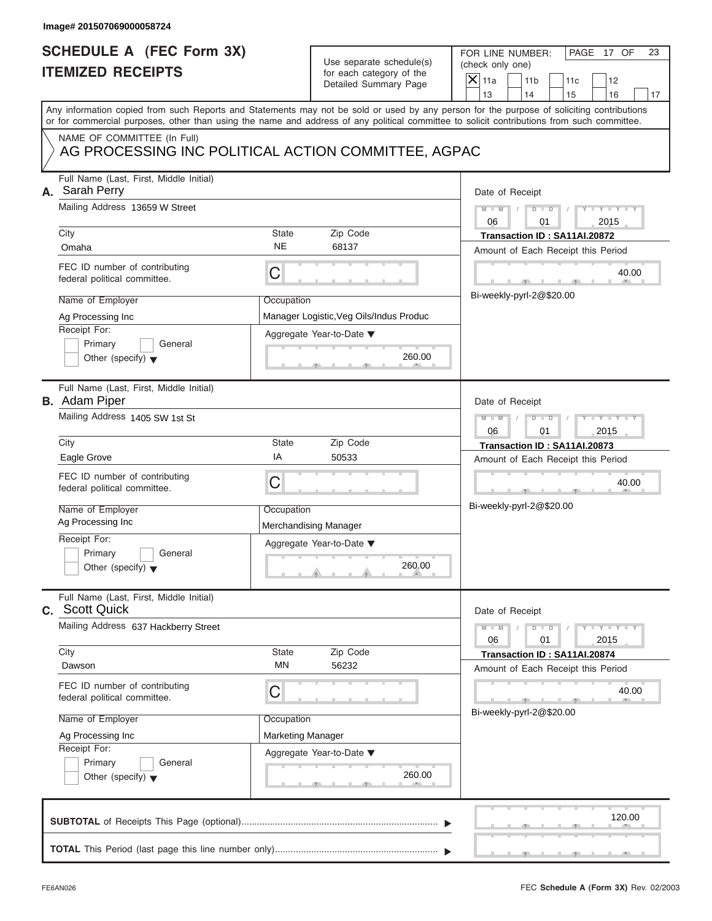| <b>SCHEDULE A (FEC Form 3X)</b><br>FOR LINE NUMBER:<br>PAGE 17 OF<br>Use separate schedule(s)<br>(check only one)<br><b>ITEMIZED RECEIPTS</b><br>for each category of the<br>$\overline{X}$ 11a<br>11 <sub>b</sub><br>11c<br>12<br>Detailed Summary Page<br>13<br>14<br>15<br>16<br>Any information copied from such Reports and Statements may not be sold or used by any person for the purpose of soliciting contributions<br>or for commercial purposes, other than using the name and address of any political committee to solicit contributions from such committee.<br>NAME OF COMMITTEE (In Full)<br>AG PROCESSING INC POLITICAL ACTION COMMITTEE, AGPAC<br>Full Name (Last, First, Middle Initial)<br>A. Sarah Perry<br>Date of Receipt<br>Mailing Address 13659 W Street<br>$M - M$<br>$D$ $D$<br>Y TYT<br>2015<br>06<br>01<br>State<br>Zip Code<br>City<br>Transaction ID: SA11AI.20872<br><b>NE</b><br>68137<br>Omaha<br>Amount of Each Receipt this Period<br>FEC ID number of contributing<br>C<br>40.00<br>federal political committee.<br>Bi-weekly-pyrl-2@\$20.00<br>Name of Employer<br>Occupation<br>Ag Processing Inc<br>Manager Logistic, Veg Oils/Indus Produc<br>Receipt For:<br>Aggregate Year-to-Date ▼<br>Primary<br>General<br>260.00<br>Other (specify) $\blacktriangledown$<br>Full Name (Last, First, Middle Initial)<br><b>B.</b> Adam Piper<br>Date of Receipt<br>Mailing Address 1405 SW 1st St<br>$M - M$<br>$D$ $D$<br>$Y - Y - I$<br>06<br>01<br>2015<br>State<br>Zip Code<br>City<br>Transaction ID: SA11AI.20873<br>ΙA<br>Eagle Grove<br>50533<br>Amount of Each Receipt this Period<br>FEC ID number of contributing<br>C<br>40.00<br>federal political committee.<br>Bi-weekly-pyrl-2@\$20.00<br>Name of Employer<br>Occupation<br>Ag Processing Inc<br>Merchandising Manager<br>Receipt For:<br>Aggregate Year-to-Date ▼<br>Primary<br>General<br>260.00<br>Other (specify) $\blacktriangledown$<br>Full Name (Last, First, Middle Initial)<br>C. Scott Quick<br>Date of Receipt<br>Mailing Address 637 Hackberry Street<br>$Y - Y$<br>$M - M$<br>$D - D$<br>2015<br>06<br>01<br>Zip Code<br>City<br>State<br>Transaction ID: SA11AI.20874<br>MN<br>56232<br>Dawson<br>Amount of Each Receipt this Period<br>FEC ID number of contributing<br>С<br>40.00<br>federal political committee.<br>Bi-weekly-pyrl-2@\$20.00<br>Name of Employer<br>Occupation<br>Marketing Manager<br>Ag Processing Inc<br>Receipt For:<br>Aggregate Year-to-Date ▼<br>Primary<br>General<br>260.00<br>Other (specify) $\blacktriangledown$<br>120.00 | Image# 201507069000058724 |  |          |
|--------------------------------------------------------------------------------------------------------------------------------------------------------------------------------------------------------------------------------------------------------------------------------------------------------------------------------------------------------------------------------------------------------------------------------------------------------------------------------------------------------------------------------------------------------------------------------------------------------------------------------------------------------------------------------------------------------------------------------------------------------------------------------------------------------------------------------------------------------------------------------------------------------------------------------------------------------------------------------------------------------------------------------------------------------------------------------------------------------------------------------------------------------------------------------------------------------------------------------------------------------------------------------------------------------------------------------------------------------------------------------------------------------------------------------------------------------------------------------------------------------------------------------------------------------------------------------------------------------------------------------------------------------------------------------------------------------------------------------------------------------------------------------------------------------------------------------------------------------------------------------------------------------------------------------------------------------------------------------------------------------------------------------------------------------------------------------------------------------------------------------------------------------------------------------------------------------------------------------------------------------------------------------------------------------------------------------------------------------------------------------------------------------------------------------------------------------------------------------------------------------------------------------------------------------------------------|---------------------------|--|----------|
|                                                                                                                                                                                                                                                                                                                                                                                                                                                                                                                                                                                                                                                                                                                                                                                                                                                                                                                                                                                                                                                                                                                                                                                                                                                                                                                                                                                                                                                                                                                                                                                                                                                                                                                                                                                                                                                                                                                                                                                                                                                                                                                                                                                                                                                                                                                                                                                                                                                                                                                                                                          |                           |  | 23<br>17 |
|                                                                                                                                                                                                                                                                                                                                                                                                                                                                                                                                                                                                                                                                                                                                                                                                                                                                                                                                                                                                                                                                                                                                                                                                                                                                                                                                                                                                                                                                                                                                                                                                                                                                                                                                                                                                                                                                                                                                                                                                                                                                                                                                                                                                                                                                                                                                                                                                                                                                                                                                                                          |                           |  |          |
|                                                                                                                                                                                                                                                                                                                                                                                                                                                                                                                                                                                                                                                                                                                                                                                                                                                                                                                                                                                                                                                                                                                                                                                                                                                                                                                                                                                                                                                                                                                                                                                                                                                                                                                                                                                                                                                                                                                                                                                                                                                                                                                                                                                                                                                                                                                                                                                                                                                                                                                                                                          |                           |  |          |
|                                                                                                                                                                                                                                                                                                                                                                                                                                                                                                                                                                                                                                                                                                                                                                                                                                                                                                                                                                                                                                                                                                                                                                                                                                                                                                                                                                                                                                                                                                                                                                                                                                                                                                                                                                                                                                                                                                                                                                                                                                                                                                                                                                                                                                                                                                                                                                                                                                                                                                                                                                          |                           |  |          |
|                                                                                                                                                                                                                                                                                                                                                                                                                                                                                                                                                                                                                                                                                                                                                                                                                                                                                                                                                                                                                                                                                                                                                                                                                                                                                                                                                                                                                                                                                                                                                                                                                                                                                                                                                                                                                                                                                                                                                                                                                                                                                                                                                                                                                                                                                                                                                                                                                                                                                                                                                                          |                           |  |          |
|                                                                                                                                                                                                                                                                                                                                                                                                                                                                                                                                                                                                                                                                                                                                                                                                                                                                                                                                                                                                                                                                                                                                                                                                                                                                                                                                                                                                                                                                                                                                                                                                                                                                                                                                                                                                                                                                                                                                                                                                                                                                                                                                                                                                                                                                                                                                                                                                                                                                                                                                                                          |                           |  |          |
|                                                                                                                                                                                                                                                                                                                                                                                                                                                                                                                                                                                                                                                                                                                                                                                                                                                                                                                                                                                                                                                                                                                                                                                                                                                                                                                                                                                                                                                                                                                                                                                                                                                                                                                                                                                                                                                                                                                                                                                                                                                                                                                                                                                                                                                                                                                                                                                                                                                                                                                                                                          |                           |  |          |
|                                                                                                                                                                                                                                                                                                                                                                                                                                                                                                                                                                                                                                                                                                                                                                                                                                                                                                                                                                                                                                                                                                                                                                                                                                                                                                                                                                                                                                                                                                                                                                                                                                                                                                                                                                                                                                                                                                                                                                                                                                                                                                                                                                                                                                                                                                                                                                                                                                                                                                                                                                          |                           |  |          |

S S S , , .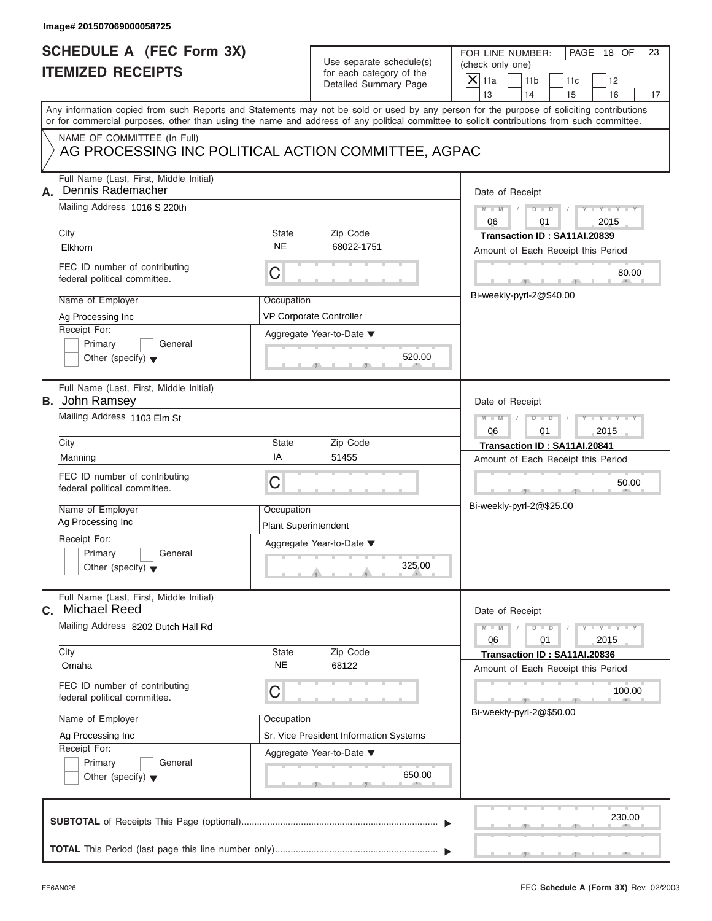# Use separate schedule(s) (check only one)<br>for each category of the  $\Box$

| Image# 201507069000058725                                                          |                                           |                                                                               |                                                                                                                                                                                                                                                                                         |
|------------------------------------------------------------------------------------|-------------------------------------------|-------------------------------------------------------------------------------|-----------------------------------------------------------------------------------------------------------------------------------------------------------------------------------------------------------------------------------------------------------------------------------------|
| <b>SCHEDULE A (FEC Form 3X)</b><br><b>ITEMIZED RECEIPTS</b>                        |                                           | Use separate schedule(s)<br>for each category of the<br>Detailed Summary Page | FOR LINE NUMBER:<br>PAGE 18 OF<br>23<br>(check only one)<br>$\mathsf{X}$ 11a<br>11 <sub>b</sub><br>11c<br>12<br>13<br>14<br>16<br>15<br>17                                                                                                                                              |
|                                                                                    |                                           |                                                                               | Any information copied from such Reports and Statements may not be sold or used by any person for the purpose of soliciting contributions<br>or for commercial purposes, other than using the name and address of any political committee to solicit contributions from such committee. |
| NAME OF COMMITTEE (In Full)<br>AG PROCESSING INC POLITICAL ACTION COMMITTEE, AGPAC |                                           |                                                                               |                                                                                                                                                                                                                                                                                         |
| Full Name (Last, First, Middle Initial)<br>Dennis Rademacher<br>А.                 |                                           |                                                                               | Date of Receipt                                                                                                                                                                                                                                                                         |
| Mailing Address 1016 S 220th                                                       |                                           |                                                                               | $Y - Y - Y - Y - Y$<br>$M - M$<br>$D$ $D$<br>06<br>2015<br>01                                                                                                                                                                                                                           |
| City<br>Elkhorn                                                                    | State<br><b>NE</b>                        | Zip Code<br>68022-1751                                                        | Transaction ID: SA11AI.20839<br>Amount of Each Receipt this Period                                                                                                                                                                                                                      |
| FEC ID number of contributing<br>federal political committee.                      | С                                         |                                                                               | 80.00                                                                                                                                                                                                                                                                                   |
| Name of Employer<br>Ag Processing Inc                                              | Occupation                                | <b>VP Corporate Controller</b>                                                | Bi-weekly-pyrl-2@\$40.00                                                                                                                                                                                                                                                                |
| Receipt For:<br>Primary<br>General<br>Other (specify) $\blacktriangledown$         |                                           | Aggregate Year-to-Date ▼<br>520.00                                            |                                                                                                                                                                                                                                                                                         |
| Full Name (Last, First, Middle Initial)<br><b>B.</b> John Ramsey                   |                                           |                                                                               | Date of Receipt                                                                                                                                                                                                                                                                         |
| Mailing Address 1103 Elm St                                                        |                                           |                                                                               | $Y - Y - Y - Y - I$<br>$M - M$<br>$D$ $\Box$ $D$<br>06<br>01<br>2015                                                                                                                                                                                                                    |
| City<br>Manning                                                                    | State<br>ΙA                               | Zip Code<br>51455                                                             | Transaction ID: SA11AI.20841<br>Amount of Each Receipt this Period                                                                                                                                                                                                                      |
| FEC ID number of contributing<br>federal political committee.                      | С                                         |                                                                               | 50.00<br>$-1$                                                                                                                                                                                                                                                                           |
| Name of Employer<br>Ag Processing Inc                                              | Occupation<br><b>Plant Superintendent</b> |                                                                               | Bi-weekly-pyrl-2@\$25.00                                                                                                                                                                                                                                                                |
| Receipt For:<br>Primary<br>General<br>Other (specify) $\blacktriangledown$         |                                           | Aggregate Year-to-Date ▼<br>325.00                                            |                                                                                                                                                                                                                                                                                         |
| Full Name (Last, First, Middle Initial)<br><b>Michael Reed</b><br>С.               |                                           |                                                                               | Date of Receipt                                                                                                                                                                                                                                                                         |
| Mailing Address 8202 Dutch Hall Rd                                                 |                                           |                                                                               | $Y = Y$<br>$M - M$<br>$\overline{D}$<br>$\Box$<br>06<br>2015<br>01                                                                                                                                                                                                                      |
| City<br>Omaha                                                                      | State<br><b>NE</b>                        | Zip Code<br>68122                                                             | Transaction ID: SA11AI.20836<br>Amount of Each Receipt this Period                                                                                                                                                                                                                      |
| FEC ID number of contributing<br>federal political committee.                      | С                                         |                                                                               | 100.00                                                                                                                                                                                                                                                                                  |
| Name of Employer<br>Ag Processing Inc<br>Receipt For:                              | Occupation                                | Sr. Vice President Information Systems                                        | Bi-weekly-pyrl-2@\$50.00                                                                                                                                                                                                                                                                |
| Primary<br>General<br>Other (specify) $\blacktriangledown$                         |                                           | Aggregate Year-to-Date ▼<br>650.00                                            |                                                                                                                                                                                                                                                                                         |
|                                                                                    |                                           |                                                                               | 230.00                                                                                                                                                                                                                                                                                  |
|                                                                                    |                                           |                                                                               |                                                                                                                                                                                                                                                                                         |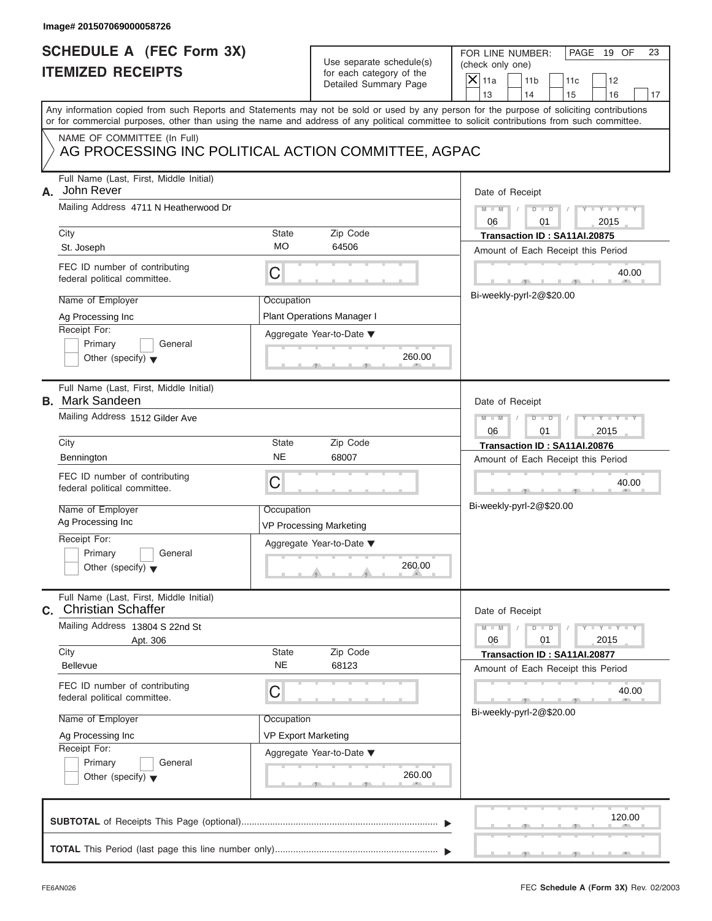| Image# 201507069000058726                                                                                                                                                            |                                               |                                                                               |                                                                                                                                                                                                                                                                                         |
|--------------------------------------------------------------------------------------------------------------------------------------------------------------------------------------|-----------------------------------------------|-------------------------------------------------------------------------------|-----------------------------------------------------------------------------------------------------------------------------------------------------------------------------------------------------------------------------------------------------------------------------------------|
| <b>SCHEDULE A (FEC Form 3X)</b><br><b>ITEMIZED RECEIPTS</b>                                                                                                                          |                                               | Use separate schedule(s)<br>for each category of the<br>Detailed Summary Page | FOR LINE NUMBER:<br>PAGE 19 OF<br>23<br>(check only one)<br>$\overline{X}$ 11a<br>11 <sub>b</sub><br>11c<br>12<br>13<br>14<br>15<br>16<br>17                                                                                                                                            |
|                                                                                                                                                                                      |                                               |                                                                               | Any information copied from such Reports and Statements may not be sold or used by any person for the purpose of soliciting contributions<br>or for commercial purposes, other than using the name and address of any political committee to solicit contributions from such committee. |
| NAME OF COMMITTEE (In Full)                                                                                                                                                          |                                               | AG PROCESSING INC POLITICAL ACTION COMMITTEE, AGPAC                           |                                                                                                                                                                                                                                                                                         |
| Full Name (Last, First, Middle Initial)<br>John Rever<br>А.<br>Mailing Address 4711 N Heatherwood Dr<br>City<br>St. Joseph                                                           | State<br><b>MO</b>                            | Zip Code<br>64506                                                             | Date of Receipt<br>$M - M$<br>$D$ $\Box$ $D$<br>$Y - Y - I$<br>2015<br>06<br>01<br>Transaction ID: SA11AI.20875<br>Amount of Each Receipt this Period                                                                                                                                   |
| FEC ID number of contributing<br>federal political committee.                                                                                                                        | C                                             |                                                                               | 40.00<br>Bi-weekly-pyrl-2@\$20.00                                                                                                                                                                                                                                                       |
| Name of Employer<br>Ag Processing Inc<br>Receipt For:<br>Primary<br>General<br>Other (specify) $\blacktriangledown$                                                                  | Occupation                                    | <b>Plant Operations Manager I</b><br>Aggregate Year-to-Date ▼<br>260.00       |                                                                                                                                                                                                                                                                                         |
| Full Name (Last, First, Middle Initial)<br><b>B.</b> Mark Sandeen<br>Mailing Address 1512 Gilder Ave                                                                                 |                                               |                                                                               | Date of Receipt<br>$M - M$<br>$D$ $D$<br>$Y - Y - I$<br>06<br>01<br>2015                                                                                                                                                                                                                |
| City<br>Bennington<br>FEC ID number of contributing<br>federal political committee.<br>Name of Employer                                                                              | State<br><b>NE</b><br>C<br>Occupation         | Zip Code<br>68007                                                             | Transaction ID: SA11AI.20876<br>Amount of Each Receipt this Period<br>40.00<br>Bi-weekly-pyrl-2@\$20.00                                                                                                                                                                                 |
| Ag Processing Inc<br>Receipt For:<br>Primary<br>General<br>Other (specify) $\blacktriangledown$                                                                                      |                                               | <b>VP Processing Marketing</b><br>Aggregate Year-to-Date ▼<br>260.00          |                                                                                                                                                                                                                                                                                         |
| Full Name (Last, First, Middle Initial)<br>C. Christian Schaffer<br>Mailing Address 13804 S 22nd St<br>Apt. 306<br>City<br><b>Bellevue</b>                                           | State<br><b>NE</b>                            | Zip Code<br>68123                                                             | Date of Receipt<br>$M - M$<br>$Y - Y$<br>$D - D$<br>2015<br>06<br>01<br>Transaction ID: SA11AI.20877<br>Amount of Each Receipt this Period                                                                                                                                              |
| FEC ID number of contributing<br>federal political committee.<br>Name of Employer<br>Ag Processing Inc<br>Receipt For:<br>Primary<br>General<br>Other (specify) $\blacktriangledown$ | С<br>Occupation<br><b>VP Export Marketing</b> | Aggregate Year-to-Date ▼<br>260.00                                            | 40.00<br>Bi-weekly-pyrl-2@\$20.00                                                                                                                                                                                                                                                       |
|                                                                                                                                                                                      |                                               |                                                                               | 120.00                                                                                                                                                                                                                                                                                  |
|                                                                                                                                                                                      |                                               |                                                                               |                                                                                                                                                                                                                                                                                         |

S S S , , .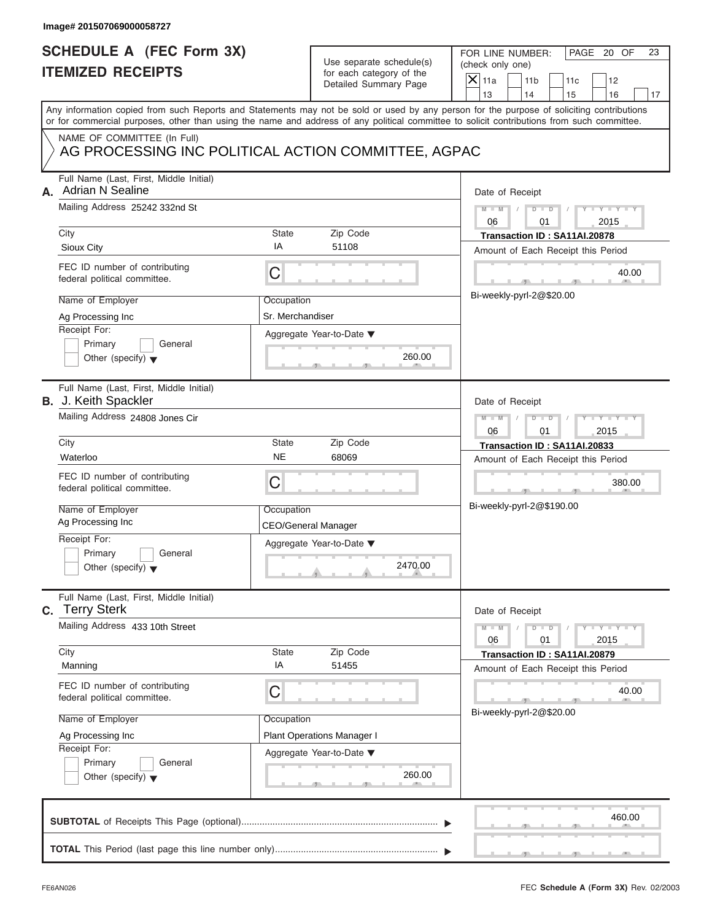|    | Image# 201507069000058727                                                                                                                  |                                                       |                                                                               |                                                                                                                                                                         |
|----|--------------------------------------------------------------------------------------------------------------------------------------------|-------------------------------------------------------|-------------------------------------------------------------------------------|-------------------------------------------------------------------------------------------------------------------------------------------------------------------------|
|    | <b>SCHEDULE A (FEC Form 3X)</b><br><b>ITEMIZED RECEIPTS</b>                                                                                |                                                       | Use separate schedule(s)<br>for each category of the<br>Detailed Summary Page | FOR LINE NUMBER:<br>PAGE 20 OF<br>23<br>(check only one)<br>$\mathsf{X}$ 11a<br>11 <sub>b</sub><br>11c<br>12                                                            |
|    | or for commercial purposes, other than using the name and address of any political committee to solicit contributions from such committee. |                                                       |                                                                               | 13<br>14<br>15<br>16<br>17<br>Any information copied from such Reports and Statements may not be sold or used by any person for the purpose of soliciting contributions |
|    | NAME OF COMMITTEE (In Full)<br>AG PROCESSING INC POLITICAL ACTION COMMITTEE, AGPAC                                                         |                                                       |                                                                               |                                                                                                                                                                         |
| А. | Full Name (Last, First, Middle Initial)<br><b>Adrian N Sealine</b><br>Mailing Address 25242 332nd St                                       |                                                       |                                                                               | Date of Receipt<br>$D$ $\Box$ $D$<br>$Y - Y - Y - Y$<br>$M - M$<br>2015<br>06<br>01                                                                                     |
|    | City<br>Sioux City                                                                                                                         | State<br>IA                                           | Zip Code<br>51108                                                             | Transaction ID: SA11AI.20878                                                                                                                                            |
|    | FEC ID number of contributing<br>federal political committee.                                                                              | С                                                     |                                                                               | Amount of Each Receipt this Period<br>40.00                                                                                                                             |
|    | Name of Employer<br>Ag Processing Inc<br>Receipt For:                                                                                      | Occupation<br>Sr. Merchandiser                        | Aggregate Year-to-Date ▼                                                      | Bi-weekly-pyrl-2@\$20.00                                                                                                                                                |
|    | Primary<br>General<br>Other (specify) $\blacktriangledown$                                                                                 |                                                       | 260.00                                                                        |                                                                                                                                                                         |
|    | Full Name (Last, First, Middle Initial)<br><b>B.</b> J. Keith Spackler                                                                     |                                                       |                                                                               | Date of Receipt                                                                                                                                                         |
|    | Mailing Address 24808 Jones Cir                                                                                                            | $M - M$<br>$D$ $D$<br>Y I Y I Y I<br>06<br>01<br>2015 |                                                                               |                                                                                                                                                                         |
|    | City<br>Waterloo                                                                                                                           | State<br><b>NE</b>                                    | Zip Code<br>68069                                                             | Transaction ID: SA11AI.20833                                                                                                                                            |
|    | FEC ID number of contributing<br>federal political committee.                                                                              | С                                                     |                                                                               | Amount of Each Receipt this Period<br>380.00                                                                                                                            |
|    | Name of Employer<br>Ag Processing Inc                                                                                                      | Occupation                                            | <b>CEO/General Manager</b>                                                    | Bi-weekly-pyrl-2@\$190.00                                                                                                                                               |
|    | Receipt For:<br>Primary<br>General<br>Other (specify) $\blacktriangledown$                                                                 |                                                       | Aggregate Year-to-Date ▼<br>2470.00                                           |                                                                                                                                                                         |
|    | Full Name (Last, First, Middle Initial)<br>C. Terry Sterk                                                                                  |                                                       |                                                                               | Date of Receipt                                                                                                                                                         |
|    | Mailing Address 433 10th Street                                                                                                            |                                                       |                                                                               | $Y - Y$<br>$M - M$<br>$D$ $D$<br>2015<br>06<br>01                                                                                                                       |
|    | City<br>Manning                                                                                                                            | State<br>IA                                           | Zip Code<br>51455                                                             | Transaction ID: SA11AI.20879<br>Amount of Each Receipt this Period                                                                                                      |
|    | FEC ID number of contributing<br>federal political committee.                                                                              | С                                                     |                                                                               | 40.00<br>Bi-weekly-pyrl-2@\$20.00                                                                                                                                       |
|    | Name of Employer                                                                                                                           | Occupation                                            |                                                                               |                                                                                                                                                                         |
|    | Ag Processing Inc<br>Receipt For:                                                                                                          |                                                       | <b>Plant Operations Manager I</b>                                             |                                                                                                                                                                         |
|    | Primary<br>General<br>Other (specify) $\blacktriangledown$                                                                                 |                                                       | Aggregate Year-to-Date ▼<br>260.00                                            |                                                                                                                                                                         |
|    |                                                                                                                                            |                                                       |                                                                               | 460.00                                                                                                                                                                  |
|    |                                                                                                                                            |                                                       |                                                                               |                                                                                                                                                                         |

S S S , , .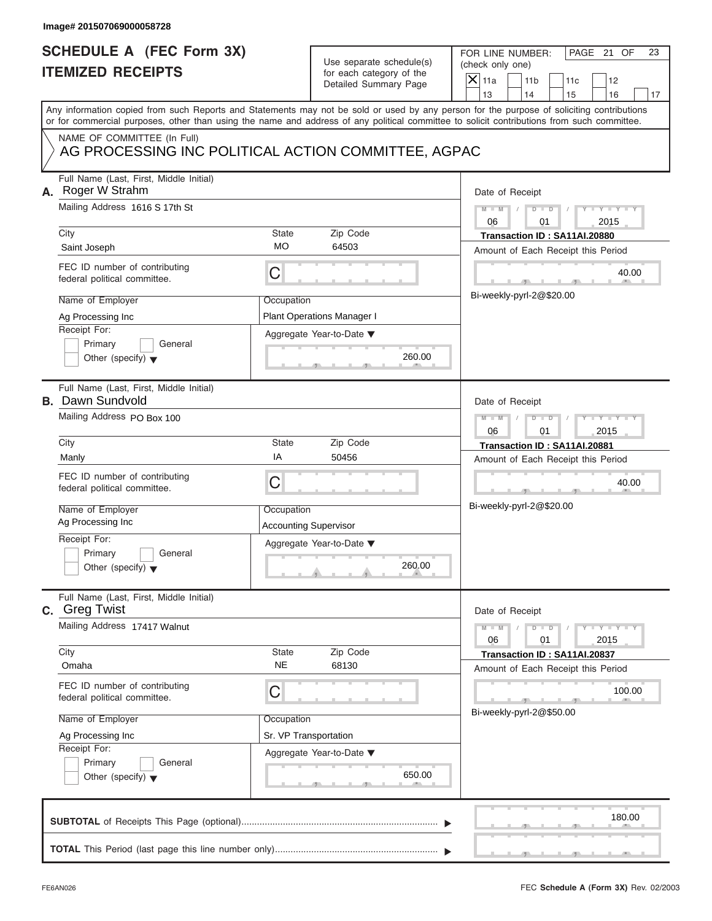# Use separate schedule(s) (check only one)<br>for each category of the  $\Box$

| Image# 201507069000058728                                                                                                                                                                                                                                                                                 |                                                                |                                                                               |                                                                                                                                                                                                         |
|-----------------------------------------------------------------------------------------------------------------------------------------------------------------------------------------------------------------------------------------------------------------------------------------------------------|----------------------------------------------------------------|-------------------------------------------------------------------------------|---------------------------------------------------------------------------------------------------------------------------------------------------------------------------------------------------------|
| <b>SCHEDULE A (FEC Form 3X)</b><br><b>ITEMIZED RECEIPTS</b>                                                                                                                                                                                                                                               |                                                                | Use separate schedule(s)<br>for each category of the<br>Detailed Summary Page | FOR LINE NUMBER:<br>PAGE 21 OF<br>23<br>(check only one)<br>$\overline{X}$ 11a<br>11 <sub>b</sub><br>11c<br>12<br>13<br>14<br>16<br>15<br>17                                                            |
| Any information copied from such Reports and Statements may not be sold or used by any person for the purpose of soliciting contributions<br>or for commercial purposes, other than using the name and address of any political committee to solicit contributions from such committee.                   |                                                                |                                                                               |                                                                                                                                                                                                         |
| NAME OF COMMITTEE (In Full)<br>AG PROCESSING INC POLITICAL ACTION COMMITTEE, AGPAC                                                                                                                                                                                                                        |                                                                |                                                                               |                                                                                                                                                                                                         |
| Full Name (Last, First, Middle Initial)<br>A. Roger W Strahm<br>Mailing Address 1616 S 17th St<br>City<br>Saint Joseph<br>FEC ID number of contributing                                                                                                                                                   | State<br><b>MO</b>                                             | Zip Code<br>64503                                                             | Date of Receipt<br>$Y - Y - Y - Y - Y$<br>$D$ $D$<br>$M - M$<br>06<br>2015<br>01<br>Transaction ID: SA11AI.20880<br>Amount of Each Receipt this Period                                                  |
| federal political committee.<br>Name of Employer<br>Ag Processing Inc<br>Receipt For:<br>Primary<br>General<br>Other (specify) $\blacktriangledown$                                                                                                                                                       | С<br>Occupation                                                | <b>Plant Operations Manager I</b><br>Aggregate Year-to-Date ▼<br>260.00       | 40.00<br>Bi-weekly-pyrl-2@\$20.00                                                                                                                                                                       |
| Full Name (Last, First, Middle Initial)<br><b>B.</b> Dawn Sundvold<br>Mailing Address PO Box 100<br>City<br>Manly<br>FEC ID number of contributing<br>federal political committee.<br>Name of Employer<br>Ag Processing Inc<br>Receipt For:<br>Primary<br>General<br>Other (specify) $\blacktriangledown$ | State<br>ΙA<br>С<br>Occupation<br><b>Accounting Supervisor</b> | Zip Code<br>50456<br>Aggregate Year-to-Date ▼<br>260.00                       | Date of Receipt<br>$D$ $\Box$ $D$<br>$Y = Y + Y + Y$<br>$M - M$<br>06<br>01<br>2015<br>Transaction ID: SA11AI.20881<br>Amount of Each Receipt this Period<br>40.00<br>$-7-$<br>Bi-weekly-pyrl-2@\$20.00 |
| Full Name (Last, First, Middle Initial)<br>C. Greg Twist<br>Mailing Address 17417 Walnut<br>City<br>Omaha<br>FEC ID number of contributing<br>federal political committee.<br>Name of Employer<br>Ag Processing Inc<br>Receipt For:<br>Primary<br>General<br>Other (specify) $\blacktriangledown$         | State<br><b>NE</b><br>С<br>Occupation<br>Sr. VP Transportation | Zip Code<br>68130<br>Aggregate Year-to-Date ▼<br>650.00                       | Date of Receipt<br>$Y = Y$<br>$M - M$<br>$\overline{D}$<br>$\Box$<br>06<br>2015<br>01<br>Transaction ID: SA11AI.20837<br>Amount of Each Receipt this Period<br>100.00<br>Bi-weekly-pyrl-2@\$50.00       |
|                                                                                                                                                                                                                                                                                                           |                                                                |                                                                               | 180.00                                                                                                                                                                                                  |

S S S , , .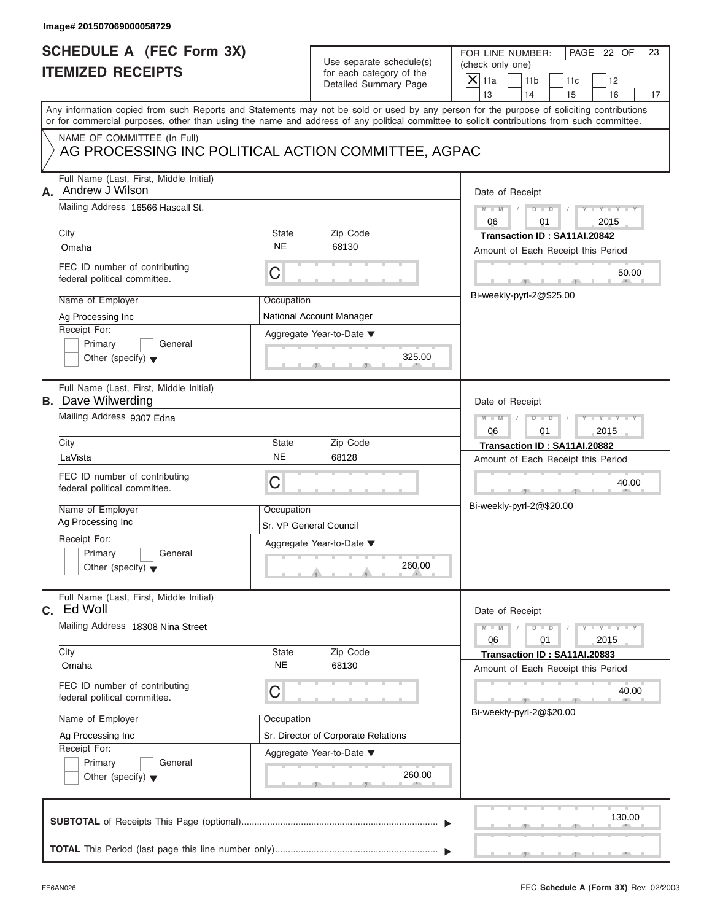|    | Image# 201507069000058729                                                                                                                  |                         |                                                                               |                                                                                                                                              |
|----|--------------------------------------------------------------------------------------------------------------------------------------------|-------------------------|-------------------------------------------------------------------------------|----------------------------------------------------------------------------------------------------------------------------------------------|
|    | <b>SCHEDULE A (FEC Form 3X)</b><br><b>ITEMIZED RECEIPTS</b>                                                                                |                         | Use separate schedule(s)<br>for each category of the<br>Detailed Summary Page | FOR LINE NUMBER:<br>PAGE 22 OF<br>23<br>(check only one)<br>$\overline{X}$ 11a<br>11 <sub>b</sub><br>11c<br>12<br>13<br>14<br>15<br>16<br>17 |
|    | or for commercial purposes, other than using the name and address of any political committee to solicit contributions from such committee. |                         |                                                                               | Any information copied from such Reports and Statements may not be sold or used by any person for the purpose of soliciting contributions    |
|    | NAME OF COMMITTEE (In Full)<br>AG PROCESSING INC POLITICAL ACTION COMMITTEE, AGPAC                                                         |                         |                                                                               |                                                                                                                                              |
| А. | Full Name (Last, First, Middle Initial)<br>Andrew J Wilson<br>Mailing Address 16566 Hascall St.                                            |                         |                                                                               | Date of Receipt<br>$M - M$<br>$D$ $D$<br>Y TYT<br>2015<br>06<br>01                                                                           |
|    | City                                                                                                                                       | State<br><b>NE</b>      | Zip Code<br>68130                                                             | Transaction ID: SA11AI.20842                                                                                                                 |
|    | Omaha<br>FEC ID number of contributing<br>federal political committee.                                                                     | C<br>Occupation         |                                                                               | Amount of Each Receipt this Period<br>50.00<br>Bi-weekly-pyrl-2@\$25.00                                                                      |
|    | Name of Employer<br>Ag Processing Inc<br>Receipt For:<br>Primary<br>General<br>Other (specify) $\blacktriangledown$                        |                         |                                                                               |                                                                                                                                              |
|    | Full Name (Last, First, Middle Initial)<br><b>B.</b> Dave Wilwerding<br>Mailing Address 9307 Edna                                          |                         |                                                                               | Date of Receipt<br>$M - M$<br>$D$ $D$<br>$Y - Y - I$<br>06<br>01<br>2015                                                                     |
|    | City<br>LaVista<br>FEC ID number of contributing<br>federal political committee.                                                           | State<br><b>NE</b><br>C | Zip Code<br>68128                                                             | Transaction ID: SA11AI.20882<br>Amount of Each Receipt this Period<br>40.00<br>$-7$                                                          |
|    | Name of Employer<br>Ag Processing Inc<br>Receipt For:                                                                                      | Occupation              | Sr. VP General Council<br>Aggregate Year-to-Date ▼                            | Bi-weekly-pyrl-2@\$20.00                                                                                                                     |
|    | Primary<br>General<br>Other (specify) $\blacktriangledown$                                                                                 |                         | 260.00                                                                        |                                                                                                                                              |
|    | Full Name (Last, First, Middle Initial)<br>c. Ed Woll                                                                                      |                         |                                                                               | Date of Receipt                                                                                                                              |
|    | Mailing Address 18308 Nina Street                                                                                                          |                         |                                                                               | $Y - Y$<br>$M - M$<br>$D - D$<br>2015<br>06<br>01                                                                                            |
|    | City<br>Omaha                                                                                                                              | State<br><b>NE</b>      | Zip Code<br>68130                                                             | Transaction ID: SA11AI.20883<br>Amount of Each Receipt this Period                                                                           |
|    | FEC ID number of contributing<br>federal political committee.                                                                              | С                       |                                                                               | 40.00<br>Bi-weekly-pyrl-2@\$20.00                                                                                                            |
|    | Name of Employer<br>Ag Processing Inc<br>Receipt For:<br>Primary<br>General<br>Other (specify) $\blacktriangledown$                        | Occupation              | Sr. Director of Corporate Relations<br>Aggregate Year-to-Date ▼<br>260.00     |                                                                                                                                              |
|    |                                                                                                                                            |                         |                                                                               | 130.00                                                                                                                                       |
|    |                                                                                                                                            |                         |                                                                               |                                                                                                                                              |

 $S = 1 - 1 - 2$